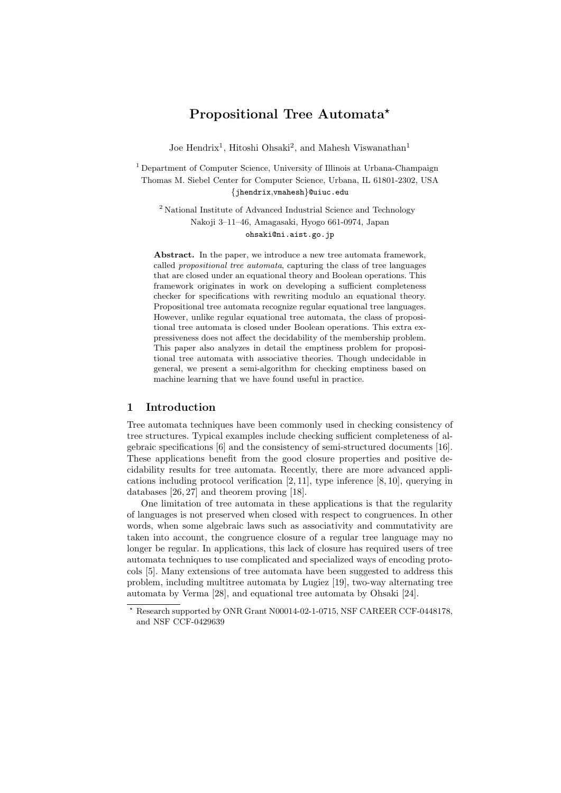# Propositional Tree Automata<sup>\*</sup>

Joe Hendrix<sup>1</sup>, Hitoshi Ohsaki<sup>2</sup>, and Mahesh Viswanathan<sup>1</sup>

<sup>1</sup> Department of Computer Science, University of Illinois at Urbana-Champaign Thomas M. Siebel Center for Computer Science, Urbana, IL 61801-2302, USA {jhendrix,vmahesh}@uiuc.edu

<sup>2</sup> National Institute of Advanced Industrial Science and Technology Nakoji 3–11–46, Amagasaki, Hyogo 661-0974, Japan ohsaki@ni.aist.go.jp

Abstract. In the paper, we introduce a new tree automata framework, called propositional tree automata, capturing the class of tree languages that are closed under an equational theory and Boolean operations. This framework originates in work on developing a sufficient completeness checker for specifications with rewriting modulo an equational theory. Propositional tree automata recognize regular equational tree languages. However, unlike regular equational tree automata, the class of propositional tree automata is closed under Boolean operations. This extra expressiveness does not affect the decidability of the membership problem. This paper also analyzes in detail the emptiness problem for propositional tree automata with associative theories. Though undecidable in general, we present a semi-algorithm for checking emptiness based on machine learning that we have found useful in practice.

### 1 Introduction

Tree automata techniques have been commonly used in checking consistency of tree structures. Typical examples include checking sufficient completeness of algebraic specifications [6] and the consistency of semi-structured documents [16]. These applications benefit from the good closure properties and positive decidability results for tree automata. Recently, there are more advanced applications including protocol verification [2, 11], type inference [8, 10], querying in databases [26, 27] and theorem proving [18].

One limitation of tree automata in these applications is that the regularity of languages is not preserved when closed with respect to congruences. In other words, when some algebraic laws such as associativity and commutativity are taken into account, the congruence closure of a regular tree language may no longer be regular. In applications, this lack of closure has required users of tree automata techniques to use complicated and specialized ways of encoding protocols [5]. Many extensions of tree automata have been suggested to address this problem, including multitree automata by Lugiez [19], two-way alternating tree automata by Verma [28], and equational tree automata by Ohsaki [24].

<sup>?</sup> Research supported by ONR Grant N00014-02-1-0715, NSF CAREER CCF-0448178, and NSF CCF-0429639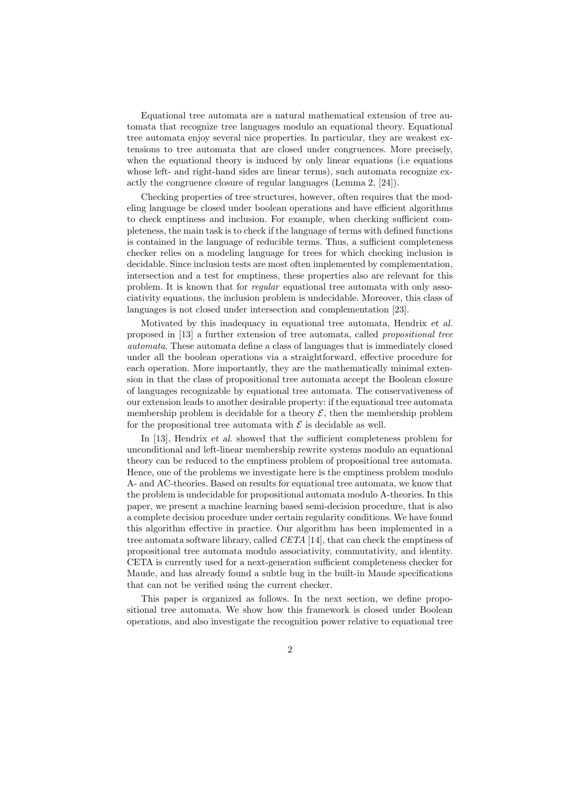Equational tree automata are a natural mathematical extension of tree automata that recognize tree languages modulo an equational theory. Equational tree automata enjoy several nice properties. In particular, they are weakest extensions to tree automata that are closed under congruences. More precisely, when the equational theory is induced by only linear equations (i.e equations whose left- and right-hand sides are linear terms), such automata recognize exactly the congruence closure of regular languages (Lemma 2, [24]).

Checking properties of tree structures, however, often requires that the modeling language be closed under boolean operations and have efficient algorithms to check emptiness and inclusion. For example, when checking sufficient completeness, the main task is to check if the language of terms with defined functions is contained in the language of reducible terms. Thus, a sufficient completeness checker relies on a modeling language for trees for which checking inclusion is decidable. Since inclusion tests are most often implemented by complementation, intersection and a test for emptiness, these properties also are relevant for this problem. It is known that for *regular* equational tree automata with only associativity equations, the inclusion problem is undecidable. Moreover, this class of languages is not closed under intersection and complementation [23].

Motivated by this inadequacy in equational tree automata, Hendrix et al. proposed in [13] a further extension of tree automata, called propositional tree automata. These automata define a class of languages that is immediately closed under all the boolean operations via a straightforward, effective procedure for each operation. More importantly, they are the mathematically minimal extension in that the class of propositional tree automata accept the Boolean closure of languages recognizable by equational tree automata. The conservativeness of our extension leads to another desirable property: if the equational tree automata membership problem is decidable for a theory  $\mathcal{E}$ , then the membership problem for the propositional tree automata with  $\mathcal E$  is decidable as well.

In [13], Hendrix et al. showed that the sufficient completeness problem for unconditional and left-linear membership rewrite systems modulo an equational theory can be reduced to the emptiness problem of propositional tree automata. Hence, one of the problems we investigate here is the emptiness problem modulo A- and AC-theories. Based on results for equational tree automata, we know that the problem is undecidable for propositional automata modulo A-theories. In this paper, we present a machine learning based semi-decision procedure, that is also a complete decision procedure under certain regularity conditions. We have found this algorithm effective in practice. Our algorithm has been implemented in a tree automata software library, called CETA [14], that can check the emptiness of propositional tree automata modulo associativity, commutativity, and identity. CETA is currently used for a next-generation sufficient completeness checker for Maude, and has already found a subtle bug in the built-in Maude specifications that can not be verified using the current checker.

This paper is organized as follows. In the next section, we define propositional tree automata. We show how this framework is closed under Boolean operations, and also investigate the recognition power relative to equational tree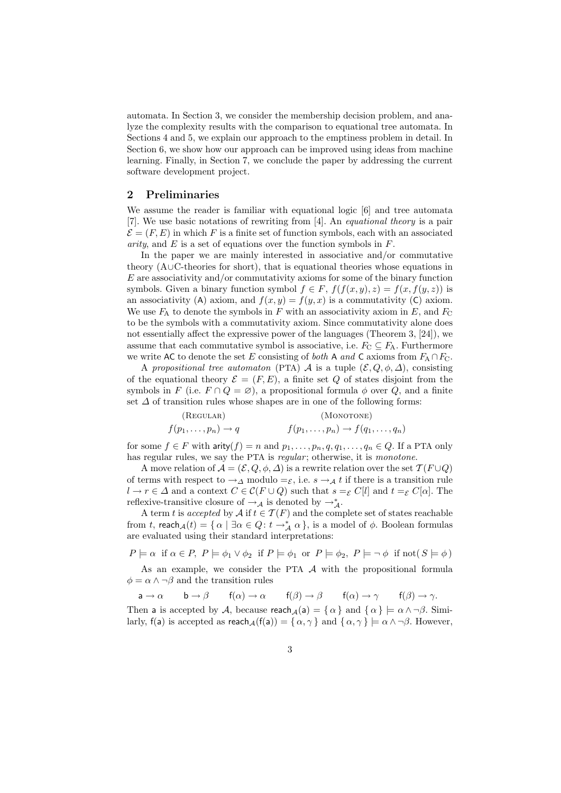automata. In Section 3, we consider the membership decision problem, and analyze the complexity results with the comparison to equational tree automata. In Sections 4 and 5, we explain our approach to the emptiness problem in detail. In Section 6, we show how our approach can be improved using ideas from machine learning. Finally, in Section 7, we conclude the paper by addressing the current software development project.

#### 2 Preliminaries

We assume the reader is familiar with equational logic [6] and tree automata [7]. We use basic notations of rewriting from [4]. An equational theory is a pair  $\mathcal{E} = (F, E)$  in which F is a finite set of function symbols, each with an associated arity, and  $E$  is a set of equations over the function symbols in  $F$ .

In the paper we are mainly interested in associative and/or commutative theory (A∪C-theories for short), that is equational theories whose equations in  $E$  are associativity and/or commutativity axioms for some of the binary function symbols. Given a binary function symbol  $f \in F$ ,  $f(f(x, y), z) = f(x, f(y, z))$  is an associativity (A) axiom, and  $f(x, y) = f(y, x)$  is a commutativity (C) axiom. We use  $F_A$  to denote the symbols in F with an associativity axiom in E, and  $F_C$ to be the symbols with a commutativity axiom. Since commutativity alone does not essentially affect the expressive power of the languages (Theorem 3, [24]), we assume that each commutative symbol is associative, i.e.  $F_{\text{C}} \subseteq F_{\text{A}}$ . Furthermore we write AC to denote the set E consisting of both A and C axioms from  $F_A \cap F_C$ .

A propositional tree automaton (PTA) A is a tuple  $(\mathcal{E}, Q, \phi, \Delta)$ , consisting of the equational theory  $\mathcal{E} = (F, E)$ , a finite set Q of states disjoint from the symbols in F (i.e.  $F \cap Q = \emptyset$ ), a propositional formula  $\phi$  over Q, and a finite set  $\Delta$  of transition rules whose shapes are in one of the following forms:

| (REGULAR)                | (MONOTONE)                               |  |  |
|--------------------------|------------------------------------------|--|--|
| $f(p_1,\ldots,p_n)\to q$ | $f(p_1,\ldots,p_n)\to f(q_1,\ldots,q_n)$ |  |  |

for some  $f \in F$  with arity $(f) = n$  and  $p_1, \ldots, p_n, q, q_1, \ldots, q_n \in Q$ . If a PTA only has regular rules, we say the PTA is *regular*; otherwise, it is *monotone*.

A move relation of  $\mathcal{A} = (\mathcal{E}, Q, \phi, \Delta)$  is a rewrite relation over the set  $\mathcal{T}(F \cup Q)$ of terms with respect to  $\rightarrow \Delta$  modulo  $=\varepsilon$ , i.e.  $s \rightarrow \Delta t$  if there is a transition rule  $l \to r \in \Delta$  and a context  $C \in \mathcal{C}(F \cup Q)$  such that  $s =_{\mathcal{E}} C[l]$  and  $t =_{\mathcal{E}} C[\alpha]$ . The reflexive-transitive closure of  $\rightarrow_{\mathcal{A}}$  is denoted by  $\rightarrow_{\mathcal{A}}^*$ .

A term t is accepted by  $\mathcal A$  if  $t \in \mathcal T(F)$  and the complete set of states reachable from t, reach $_A(t) = \{ \alpha \mid \exists \alpha \in Q \colon t \to_A^* \alpha \}$ , is a model of  $\phi$ . Boolean formulas are evaluated using their standard interpretations:

$$
P \models \alpha \text{ if } \alpha \in P, P \models \phi_1 \lor \phi_2 \text{ if } P \models \phi_1 \text{ or } P \models \phi_2, P \models \neg \phi \text{ if } \text{not}(S \models \phi)
$$

As an example, we consider the PTA A with the propositional formula  $\phi = \alpha \wedge \neg \beta$  and the transition rules

$$
\mathsf{a} \to \alpha \qquad \mathsf{b} \to \beta \qquad \mathsf{f}(\alpha) \to \alpha \qquad \mathsf{f}(\beta) \to \beta \qquad \mathsf{f}(\alpha) \to \gamma \qquad \mathsf{f}(\beta) \to \gamma.
$$

Then a is accepted by A, because reach<sub>A</sub>(a) = { $\alpha$ } and { $\alpha$ } =  $\alpha \wedge \neg \beta$ . Similarly,  $f(a)$  is accepted as reach  $_A(f(a)) = \{ \alpha, \gamma \}$  and  $\{ \alpha, \gamma \} \models \alpha \land \neg \beta$ . However,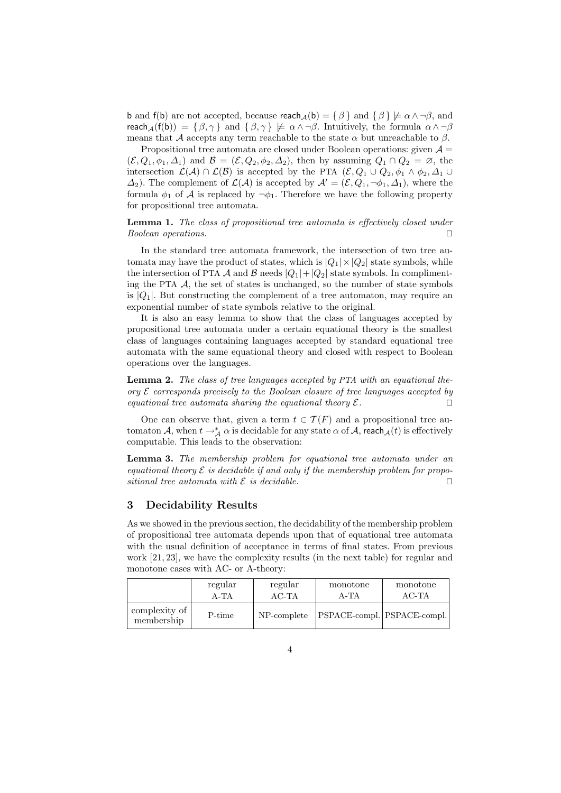**b** and f(b) are not accepted, because reach  $_A(b) = \{ \beta \}$  and  $\{ \beta \} \not\models \alpha \land \neg \beta$ , and reach<sub>A</sub>(f(b)) = { $\beta$ ,  $\gamma$ } and { $\beta$ ,  $\gamma$ }  $\not\models \alpha \wedge \neg \beta$ . Intuitively, the formula  $\alpha \wedge \neg \beta$ means that A accepts any term reachable to the state  $\alpha$  but unreachable to  $\beta$ .

Propositional tree automata are closed under Boolean operations: given  $\mathcal{A} =$  $(\mathcal{E}, Q_1, \phi_1, \Delta_1)$  and  $\mathcal{B} = (\mathcal{E}, Q_2, \phi_2, \Delta_2)$ , then by assuming  $Q_1 \cap Q_2 = \emptyset$ , the intersection  $\mathcal{L}(\mathcal{A}) \cap \mathcal{L}(\mathcal{B})$  is accepted by the PTA  $(\mathcal{E}, Q_1 \cup Q_2, \phi_1 \wedge \phi_2, \Delta_1 \cup \phi_2)$  $\Delta_2$ ). The complement of  $\mathcal{L}(\mathcal{A})$  is accepted by  $\mathcal{A}' = (\mathcal{E}, Q_1, \neg \phi_1, \Delta_1)$ , where the formula  $\phi_1$  of A is replaced by  $\neg \phi_1$ . Therefore we have the following property for propositional tree automata.

**Lemma 1.** The class of propositional tree automata is effectively closed under  $Boolean\ operations.$ 

In the standard tree automata framework, the intersection of two tree automata may have the product of states, which is  $|Q_1| \times |Q_2|$  state symbols, while the intersection of PTA A and B needs  $|Q_1|+|Q_2|$  state symbols. In complimenting the PTA  $A$ , the set of states is unchanged, so the number of state symbols is  $|Q_1|$ . But constructing the complement of a tree automaton, may require an exponential number of state symbols relative to the original.

It is also an easy lemma to show that the class of languages accepted by propositional tree automata under a certain equational theory is the smallest class of languages containing languages accepted by standard equational tree automata with the same equational theory and closed with respect to Boolean operations over the languages.

Lemma 2. The class of tree languages accepted by PTA with an equational theory  $\mathcal E$  corresponds precisely to the Boolean closure of tree languages accepted by equational tree automata sharing the equational theory  $\mathcal{E}$ .

One can observe that, given a term  $t \in \mathcal{T}(F)$  and a propositional tree automaton  $\mathcal{A}$ , when  $t\to_{\mathcal{A}}^*\alpha$  is decidable for any state  $\alpha$  of  $\mathcal{A}$ , reach $_{\mathcal{A}}(t)$  is effectively computable. This leads to the observation:

Lemma 3. The membership problem for equational tree automata under an equational theory  $\mathcal E$  is decidable if and only if the membership problem for propositional tree automata with  $\mathcal E$  is decidable.

### 3 Decidability Results

As we showed in the previous section, the decidability of the membership problem of propositional tree automata depends upon that of equational tree automata with the usual definition of acceptance in terms of final states. From previous work [21, 23], we have the complexity results (in the next table) for regular and monotone cases with AC- or A-theory:

|                             | regular | regular     | monotone | monotone                           |
|-----------------------------|---------|-------------|----------|------------------------------------|
|                             | $A-TA$  | $AC-TA$     | A-TA     | $AC-TA$                            |
| complexity of<br>membership | P-time  | NP-complete |          | <b>PSPACE-compl. PSPACE-compl.</b> |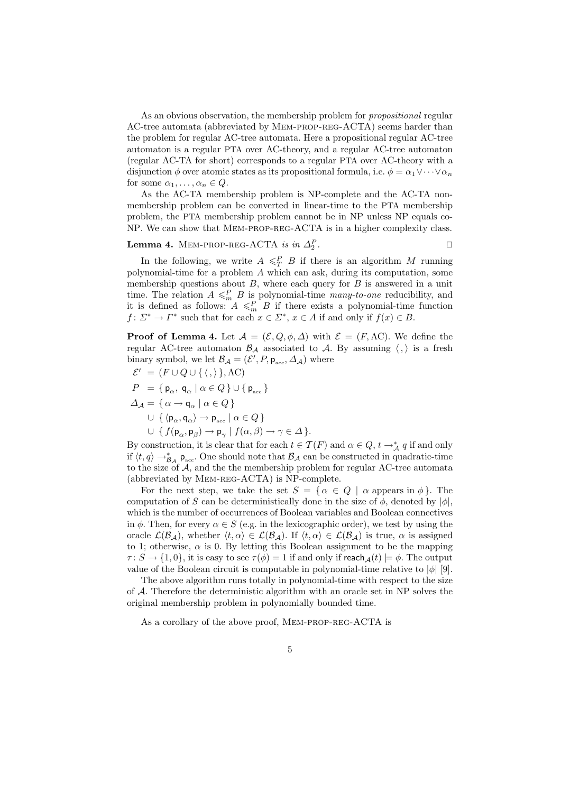As an obvious observation, the membership problem for *propositional* regular AC-tree automata (abbreviated by Mem-prop-reg-ACTA) seems harder than the problem for regular AC-tree automata. Here a propositional regular AC-tree automaton is a regular PTA over AC-theory, and a regular AC-tree automaton (regular AC-TA for short) corresponds to a regular PTA over AC-theory with a disjunction  $\phi$  over atomic states as its propositional formula, i.e.  $\phi = \alpha_1 \vee \cdots \vee \alpha_n$ for some  $\alpha_1, \ldots, \alpha_n \in Q$ .

As the AC-TA membership problem is NP-complete and the AC-TA nonmembership problem can be converted in linear-time to the PTA membership problem, the PTA membership problem cannot be in NP unless NP equals co-NP. We can show that Mem-prop-reg-ACTA is in a higher complexity class.

**Lemma 4.** MEM-PROP-REG-ACTA is in 
$$
\Delta_2^P
$$
.

In the following, we write  $A \leq T B$  if there is an algorithm M running polynomial-time for a problem A which can ask, during its computation, some membership questions about  $B$ , where each query for  $B$  is answered in a unit time. The relation  $A \leqslant^P_m B$  is polynomial-time many-to-one reducibility, and it is defined as follows:  $A \leq m$  B if there exists a polynomial-time function  $f: \Sigma^* \to \Gamma^*$  such that for each  $x \in \Sigma^*$ ,  $x \in A$  if and only if  $f(x) \in B$ .

**Proof of Lemma 4.** Let  $\mathcal{A} = (\mathcal{E}, Q, \phi, \Delta)$  with  $\mathcal{E} = (F, AC)$ . We define the regular AC-tree automaton  $\mathcal{B}_A$  associated to A. By assuming  $\langle , \rangle$  is a fresh binary symbol, we let  $\mathcal{B}_{\mathcal{A}} = (\mathcal{E}', P, \mathsf{p}_{\text{acc}}, \Delta_{\mathcal{A}})$  where

 $\mathcal{E}' = (F \cup Q \cup \{\langle,\rangle\}, AC)$  $P = \{ \mathsf{p}_{\alpha}, \mathsf{q}_{\alpha} \mid \alpha \in Q \} \cup \{ \mathsf{p}_{\text{acc}} \}$  $\Delta_{\mathcal{A}} = \{ \alpha \rightarrow \mathsf{q}_{\alpha} \mid \alpha \in Q \}$  $\cup$  {  $\langle \mathsf{p}_{\alpha}, \mathsf{q}_{\alpha} \rangle \rightarrow \mathsf{p}_{\text{acc}} \mid \alpha \in Q$  }  $\cup$  { $f(\mathsf{p}_{\alpha}, \mathsf{p}_{\beta}) \to \mathsf{p}_{\gamma}$  |  $f(\alpha, \beta) \to \gamma \in \Delta$  }.

By construction, it is clear that for each  $t \in \mathcal{T}(F)$  and  $\alpha \in Q$ ,  $t \to^*_{\mathcal{A}} q$  if and only if  $\langle t, q \rangle \rightarrow_{\mathcal{B}_\mathcal{A}}^* \mathsf{p}_{\rm acc}$ . One should note that  $\mathcal{B}_\mathcal{A}$  can be constructed in quadratic-time to the size of  $A$ , and the the membership problem for regular AC-tree automata (abbreviated by Mem-reg-ACTA) is NP-complete.

For the next step, we take the set  $S = \{ \alpha \in Q \mid \alpha \text{ appears in } \phi \}.$  The computation of S can be deterministically done in the size of  $\phi$ , denoted by  $|\phi|$ , which is the number of occurrences of Boolean variables and Boolean connectives in  $\phi$ . Then, for every  $\alpha \in S$  (e.g. in the lexicographic order), we test by using the oracle  $\mathcal{L}(\mathcal{B}_{\mathcal{A}})$ , whether  $\langle t, \alpha \rangle \in \mathcal{L}(\mathcal{B}_{\mathcal{A}})$ . If  $\langle t, \alpha \rangle \in \mathcal{L}(\mathcal{B}_{\mathcal{A}})$  is true,  $\alpha$  is assigned to 1; otherwise,  $\alpha$  is 0. By letting this Boolean assignment to be the mapping  $\tau: S \to \{1, 0\}$ , it is easy to see  $\tau(\phi) = 1$  if and only if reach  $\chi(t) \models \phi$ . The output value of the Boolean circuit is computable in polynomial-time relative to  $|\phi|$  [9].

The above algorithm runs totally in polynomial-time with respect to the size of A. Therefore the deterministic algorithm with an oracle set in NP solves the original membership problem in polynomially bounded time.

As a corollary of the above proof, MEM-PROP-REG-ACTA is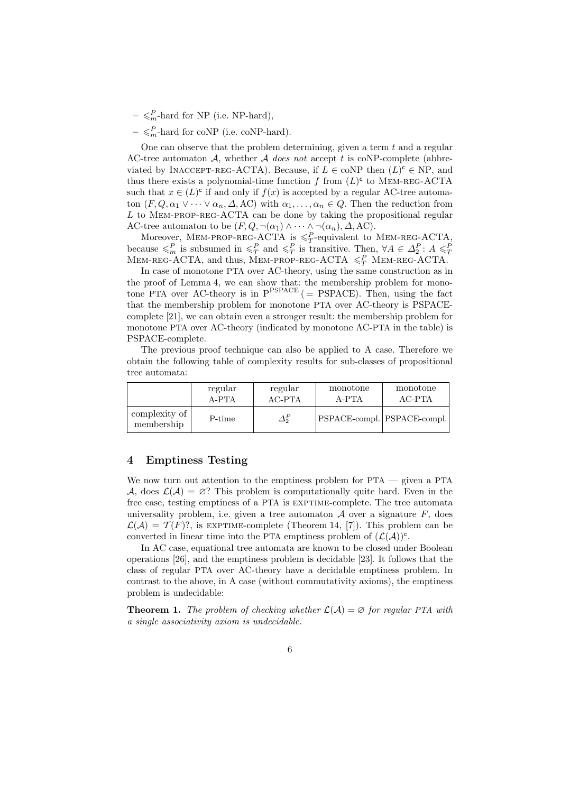- $\leq m$ -hard for NP (i.e. NP-hard),
- $\leqslant_m^P$ -hard for coNP (i.e. coNP-hard).

One can observe that the problem determining, given a term  $t$  and a regular AC-tree automaton  $A$ , whether  $A$  does not accept t is coNP-complete (abbreviated by INACCEPT-REG-ACTA). Because, if  $L \in \text{coNP}$  then  $(L)^c \in \text{NP}$ , and thus there exists a polynomial-time function  $f$  from  $(L)$ <sup>c</sup> to MEM-REG-ACTA such that  $x \in (L)^c$  if and only if  $f(x)$  is accepted by a regular AC-tree automaton  $(F, Q, \alpha_1 \vee \cdots \vee \alpha_n, \Delta, AC)$  with  $\alpha_1, \ldots, \alpha_n \in Q$ . Then the reduction from  $L$  to MEM-PROP-REG-ACTA can be done by taking the propositional regular AC-tree automaton to be  $(F, Q, \neg(\alpha_1) \land \cdots \land \neg(\alpha_n), \Delta, AC)$ .

Moreover, MEM-PROP-REG-ACTA is  $\leqslant^P_T$ -equivalent to MEM-REG-ACTA, because  $\leqslant^P_m$  is subsumed in  $\leqslant^P_T$  and  $\leqslant^P_T$  is transitive. Then,  $\forall A \in \Delta_2^P : A \leqslant^F_T$ MEM-REG-ACTA, and thus, MEM-PROP-REG-ACTA  $\leq^P_T$  MEM-REG-ACTA.

In case of monotone PTA over AC-theory, using the same construction as in the proof of Lemma 4, we can show that: the membership problem for monotone PTA over AC-theory is in  $P^{PSPACE}$  (= PSPACE). Then, using the fact that the membership problem for monotone PTA over AC-theory is PSPACEcomplete [21], we can obtain even a stronger result: the membership problem for monotone PTA over AC-theory (indicated by monotone AC-PTA in the table) is PSPACE-complete.

The previous proof technique can also be applied to A case. Therefore we obtain the following table of complexity results for sub-classes of propositional tree automata:

|                             | regular | regular  | monotone                           | monotone |
|-----------------------------|---------|----------|------------------------------------|----------|
|                             | A-PTA   | $AC-PTA$ | $A-PTA$                            | AC-PTA   |
| complexity of<br>membership | P-time  |          | <b>PSPACE-compl. PSPACE-compl.</b> |          |

### 4 Emptiness Testing

We now turn out attention to the emptiness problem for  $PTA$  — given a PTA A, does  $\mathcal{L}(\mathcal{A}) = \emptyset$ ? This problem is computationally quite hard. Even in the free case, testing emptiness of a PTA is EXPTIME-complete. The tree automata universality problem, i.e. given a tree automaton  $A$  over a signature  $F$ , does  $\mathcal{L}(\mathcal{A}) = \mathcal{T}(F)$ ?, is EXPTIME-complete (Theorem 14, [7]). This problem can be converted in linear time into the PTA emptiness problem of  $(\mathcal{L}(\mathcal{A}))^{\mathsf{c}}$ .

In AC case, equational tree automata are known to be closed under Boolean operations [26], and the emptiness problem is decidable [23]. It follows that the class of regular PTA over AC-theory have a decidable emptiness problem. In contrast to the above, in A case (without commutativity axioms), the emptiness problem is undecidable:

**Theorem 1.** The problem of checking whether  $\mathcal{L}(\mathcal{A}) = \emptyset$  for regular PTA with a single associativity axiom is undecidable.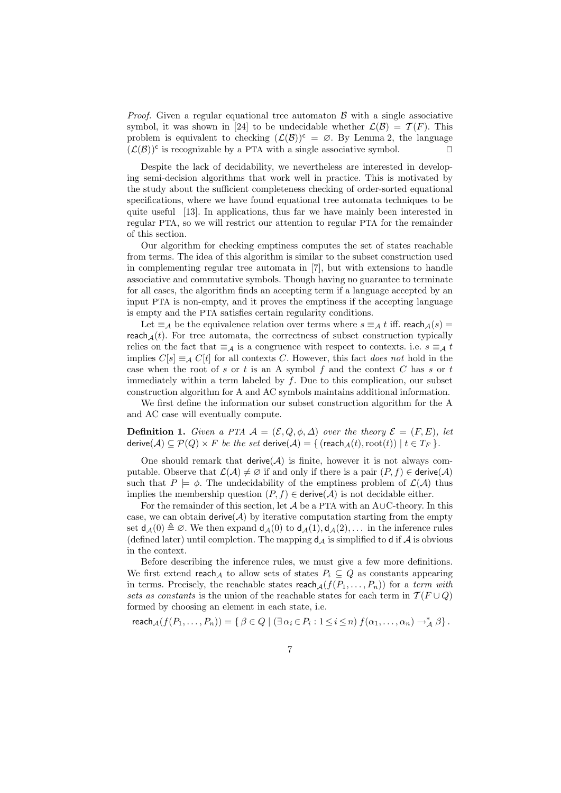*Proof.* Given a regular equational tree automaton  $\beta$  with a single associative symbol, it was shown in [24] to be undecidable whether  $\mathcal{L}(\mathcal{B}) = \mathcal{T}(F)$ . This problem is equivalent to checking  $(\mathcal{L}(\mathcal{B}))^c = \emptyset$ . By Lemma 2, the language  $(\mathcal{L}(\mathcal{B}))^c$  is recognizable by a PTA with a single associative symbol.

Despite the lack of decidability, we nevertheless are interested in developing semi-decision algorithms that work well in practice. This is motivated by the study about the sufficient completeness checking of order-sorted equational specifications, where we have found equational tree automata techniques to be quite useful [13]. In applications, thus far we have mainly been interested in regular PTA, so we will restrict our attention to regular PTA for the remainder of this section.

Our algorithm for checking emptiness computes the set of states reachable from terms. The idea of this algorithm is similar to the subset construction used in complementing regular tree automata in [7], but with extensions to handle associative and commutative symbols. Though having no guarantee to terminate for all cases, the algorithm finds an accepting term if a language accepted by an input PTA is non-empty, and it proves the emptiness if the accepting language is empty and the PTA satisfies certain regularity conditions.

Let  $\equiv_A$  be the equivalence relation over terms where  $s \equiv_A t$  iff. reach  $\bar{A}(s) =$ reach $A(t)$ . For tree automata, the correctness of subset construction typically relies on the fact that  $\equiv_A$  is a congruence with respect to contexts. i.e.  $s \equiv_A t$ implies  $C[s] \equiv_A C[t]$  for all contexts C. However, this fact *does not* hold in the case when the root of s or t is an A symbol f and the context  $C$  has s or t immediately within a term labeled by  $f$ . Due to this complication, our subset construction algorithm for A and AC symbols maintains additional information.

We first define the information our subset construction algorithm for the A and AC case will eventually compute.

**Definition 1.** Given a PTA  $\mathcal{A} = (\mathcal{E}, Q, \phi, \Delta)$  over the theory  $\mathcal{E} = (F, E)$ , let derive(A)  $\subseteq \mathcal{P}(Q) \times F$  be the set derive(A) = { (reach<sub>A</sub>(t), root(t)) |  $t \in T_F$  }.

One should remark that  $\text{derive}(\mathcal{A})$  is finite, however it is not always computable. Observe that  $\mathcal{L}(\mathcal{A}) \neq \emptyset$  if and only if there is a pair  $(P, f) \in$  derive( $\mathcal{A}$ ) such that  $P \models \phi$ . The undecidability of the emptiness problem of  $\mathcal{L}(\mathcal{A})$  thus implies the membership question  $(P, f) \in$  derive $(\mathcal{A})$  is not decidable either.

For the remainder of this section, let  $A$  be a PTA with an A∪C-theory. In this case, we can obtain derive( $\mathcal{A}$ ) by iterative computation starting from the empty set  $d_{\mathcal{A}}(0) \triangleq \emptyset$ . We then expand  $d_{\mathcal{A}}(0)$  to  $d_{\mathcal{A}}(1), d_{\mathcal{A}}(2), \ldots$  in the inference rules (defined later) until completion. The mapping  $d_A$  is simplified to d if A is obvious in the context.

Before describing the inference rules, we must give a few more definitions. We first extend reach<sub>A</sub> to allow sets of states  $P_i \subseteq Q$  as constants appearing in terms. Precisely, the reachable states reach  $\mathcal{A}(f(P_1, \ldots, P_n))$  for a term with sets as constants is the union of the reachable states for each term in  $\mathcal{T}(F \cup Q)$ formed by choosing an element in each state, i.e.

$$
\operatorname{reach}_{\mathcal{A}}(f(P_1, \ldots, P_n)) = \{ \beta \in Q \mid (\exists \alpha_i \in P_i : 1 \leq i \leq n) f(\alpha_1, \ldots, \alpha_n) \to_{\mathcal{A}}^* \beta \}.
$$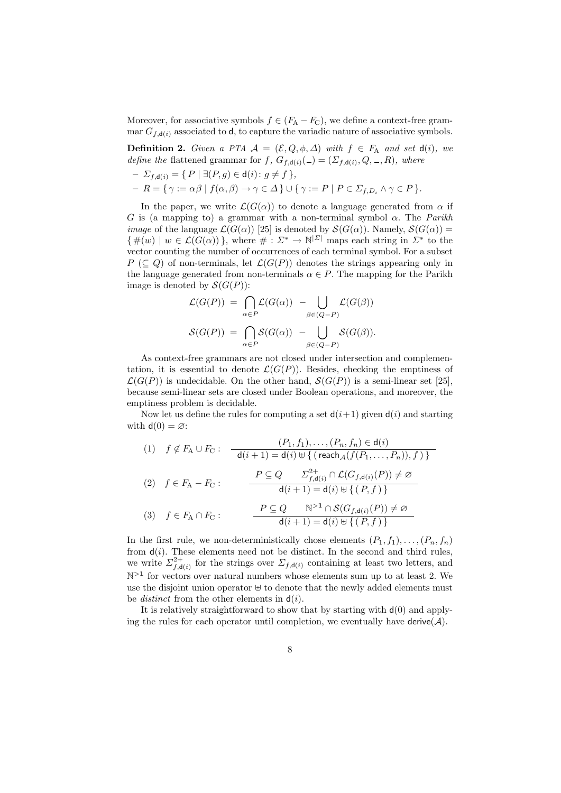Moreover, for associative symbols  $f \in (F_A - F_C)$ , we define a context-free grammar  $G_{f,d(i)}$  associated to **d**, to capture the variadic nature of associative symbols.

**Definition 2.** Given a PTA  $\mathcal{A} = (\mathcal{E}, Q, \phi, \Delta)$  with  $f \in F_A$  and set  $d(i)$ , we define the flattened grammar for f,  $G_{f,d(i)}(z) = (\sum_{f,d(i)}, Q, z, R)$ , where  $[D \mid \exists (D_{\alpha}) \subset d(i), \alpha \neq f]$ 

$$
- \sum_{f,d(i)} = \{ P \mid \exists (P,g) \in d(i) : g \neq f \},
$$
  
- 
$$
R = \{ \gamma := \alpha \beta \mid f(\alpha, \beta) \to \gamma \in \Delta \} \cup \{ \gamma := P \mid P \in \Sigma_{f,D_i} \land \gamma \in P \}.
$$

In the paper, we write  $\mathcal{L}(G(\alpha))$  to denote a language generated from  $\alpha$  if G is (a mapping to) a grammar with a non-terminal symbol  $\alpha$ . The *Parikh image* of the language  $\mathcal{L}(G(\alpha))$  [25] is denoted by  $\mathcal{S}(G(\alpha))$ . Namely,  $\mathcal{S}(G(\alpha))$  =  $\{\#(w) \mid w \in \mathcal{L}(G(\alpha))\},\$  where  $\# : \Sigma^* \to \mathbb{N}^{|\Sigma|}$  maps each string in  $\Sigma^*$  to the vector counting the number of occurrences of each terminal symbol. For a subset  $P (\subseteq Q)$  of non-terminals, let  $\mathcal{L}(G(P))$  denotes the strings appearing only in the language generated from non-terminals  $\alpha \in P$ . The mapping for the Parikh image is denoted by  $\mathcal{S}(G(P))$ :

$$
\mathcal{L}(G(P)) = \bigcap_{\alpha \in P} \mathcal{L}(G(\alpha)) - \bigcup_{\beta \in (Q-P)} \mathcal{L}(G(\beta))
$$

$$
\mathcal{S}(G(P)) = \bigcap_{\alpha \in P} \mathcal{S}(G(\alpha)) - \bigcup_{\beta \in (Q-P)} \mathcal{S}(G(\beta)).
$$

As context-free grammars are not closed under intersection and complementation, it is essential to denote  $\mathcal{L}(G(P))$ . Besides, checking the emptiness of  $\mathcal{L}(G(P))$  is undecidable. On the other hand,  $\mathcal{S}(G(P))$  is a semi-linear set [25], because semi-linear sets are closed under Boolean operations, and moreover, the emptiness problem is decidable.

Now let us define the rules for computing a set  $d(i+1)$  given  $d(i)$  and starting with  $d(0) = \emptyset$ :

(1) 
$$
f \notin F_A \cup F_C
$$
: 
$$
\frac{(P_1, f_1), \dots, (P_n, f_n) \in d(i)}{d(i+1) = d(i) \oplus \{ (\text{reach}_A(f(P_1, \dots, P_n)), f) \}}
$$

$$
(2) \quad f \in F_{A} - F_{C} : \qquad \frac{P \subseteq Q \qquad \Sigma_{f,d(i)}^{2+} \cap \mathcal{L}(G_{f,d(i)}(P)) \neq \varnothing}{d(i+1) = d(i) \uplus \{ (P,f) \}}
$$

$$
(3) \quad f \in F_A \cap F_C: \qquad \qquad \frac{P \subseteq Q \qquad \mathbb{N}^{>1} \cap \mathcal{S}(G_{f,d(i)}(P)) \neq \varnothing}{d(i+1) = d(i) \uplus \{ (P,f) \}}
$$

In the first rule, we non-deterministically chose elements  $(P_1, f_1), \ldots, (P_n, f_n)$ from  $d(i)$ . These elements need not be distinct. In the second and third rules, we write  $\Sigma_{f,d(i)}^{2+}$  for the strings over  $\Sigma_{f,d(i)}$  containing at least two letters, and  $\mathbb{N}^{>1}$  for vectors over natural numbers whose elements sum up to at least 2. We use the disjoint union operator  $\oplus$  to denote that the newly added elements must be *distinct* from the other elements in  $d(i)$ .

It is relatively straightforward to show that by starting with  $d(0)$  and applying the rules for each operator until completion, we eventually have derive( $\mathcal{A}$ ).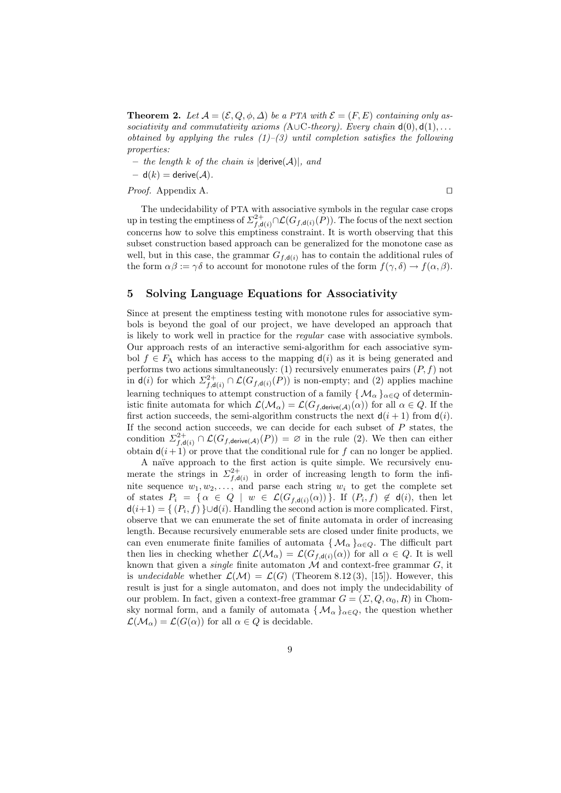**Theorem 2.** Let  $\mathcal{A} = (\mathcal{E}, Q, \phi, \Delta)$  be a PTA with  $\mathcal{E} = (F, E)$  containing only associativity and commutativity axioms (A∪C-theory). Every chain  $d(0), d(1), \ldots$ obtained by applying the rules  $(1)$ – $(3)$  until completion satisfies the following properties:

– the length k of the chain is  $|derive(\mathcal{A})|$ , and

 $- d(k) =$  derive $(A)$ .

*Proof.* Appendix A.  $\Box$ 

The undecidability of PTA with associative symbols in the regular case crops up in testing the emptiness of  $\sum_{f,\mathsf{d}(i)}^{2+} \cap \mathcal{L}(G_{f,\mathsf{d}(i)}(P))$ . The focus of the next section concerns how to solve this emptiness constraint. It is worth observing that this subset construction based approach can be generalized for the monotone case as well, but in this case, the grammar  $G_{f,d(i)}$  has to contain the additional rules of the form  $\alpha\beta := \gamma\delta$  to account for monotone rules of the form  $f(\gamma,\delta) \to f(\alpha,\beta)$ .

## 5 Solving Language Equations for Associativity

Since at present the emptiness testing with monotone rules for associative symbols is beyond the goal of our project, we have developed an approach that is likely to work well in practice for the regular case with associative symbols. Our approach rests of an interactive semi-algorithm for each associative symbol  $f \in F_A$  which has access to the mapping  $d(i)$  as it is being generated and performs two actions simultaneously: (1) recursively enumerates pairs  $(P, f)$  not in  $d(i)$  for which  $\Sigma_{f,d(i)}^{2+} \cap \mathcal{L}(G_{f,d(i)}(P))$  is non-empty; and (2) applies machine learning techniques to attempt construction of a family  $\{M_{\alpha}\}_{{\alpha}\in Q}$  of deterministic finite automata for which  $\mathcal{L}(\mathcal{M}_{\alpha}) = \mathcal{L}(G_{f,\text{derive}(\mathcal{A})}(\alpha))$  for all  $\alpha \in Q$ . If the first action succeeds, the semi-algorithm constructs the next  $d(i + 1)$  from  $d(i)$ . If the second action succeeds, we can decide for each subset of  $P$  states, the condition  $\Sigma_{f,d(i)}^{2+} \cap \mathcal{L}(G_{f,\text{derive}(\mathcal{A})}(P)) = \varnothing$  in the rule (2). We then can either obtain  $d(i + 1)$  or prove that the conditional rule for f can no longer be applied.

A naïve approach to the first action is quite simple. We recursively enumerate the strings in  $\Sigma_{f,d(i)}^{2+}$  in order of increasing length to form the infinite sequence  $w_1, w_2, \ldots$ , and parse each string  $w_i$  to get the complete set of states  $P_i = \{ \alpha \in Q \mid w \in \mathcal{L}(G_{f,d(i)}(\alpha)) \}.$  If  $(P_i, f) \notin d(i)$ , then let  $d(i+1) = \{ (P_i, f) \} \cup d(i)$ . Handling the second action is more complicated. First, observe that we can enumerate the set of finite automata in order of increasing length. Because recursively enumerable sets are closed under finite products, we can even enumerate finite families of automata  $\{\mathcal{M}_{\alpha}\}_{{\alpha}\in Q}$ . The difficult part then lies in checking whether  $\mathcal{L}(\mathcal{M}_{\alpha}) = \mathcal{L}(G_{f,d(i)}(\alpha))$  for all  $\alpha \in Q$ . It is well known that given a *single* finite automaton  $\mathcal M$  and context-free grammar  $G$ , it is undecidable whether  $\mathcal{L}(\mathcal{M}) = \mathcal{L}(G)$  (Theorem 8.12(3), [15]). However, this result is just for a single automaton, and does not imply the undecidability of our problem. In fact, given a context-free grammar  $G = (\Sigma, Q, \alpha_0, R)$  in Chomsky normal form, and a family of automata  $\{\mathcal{M}_{\alpha}\}_{{\alpha}\in Q}$ , the question whether  $\mathcal{L}(\mathcal{M}_{\alpha}) = \mathcal{L}(G(\alpha))$  for all  $\alpha \in Q$  is decidable.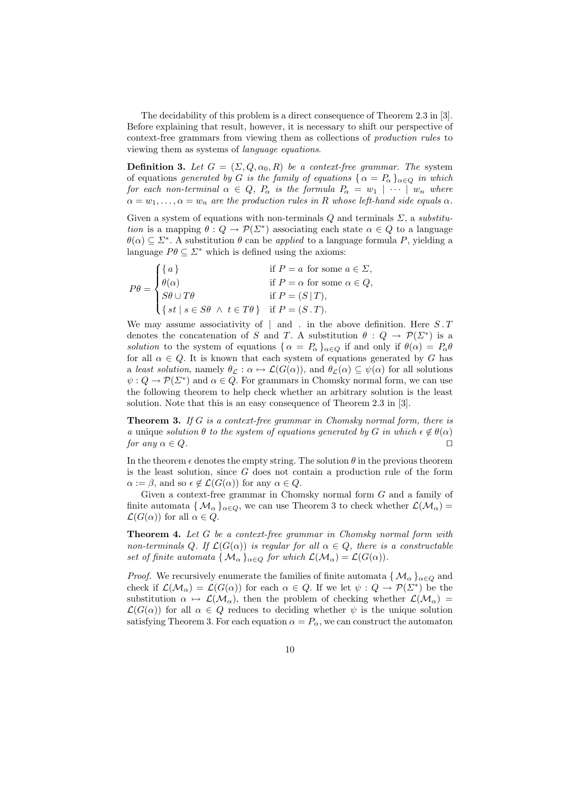The decidability of this problem is a direct consequence of Theorem 2.3 in [3]. Before explaining that result, however, it is necessary to shift our perspective of context-free grammars from viewing them as collections of production rules to viewing them as systems of language equations.

**Definition 3.** Let  $G = (\Sigma, Q, \alpha_0, R)$  be a context-free grammar. The system of equations generated by G is the family of equations  $\{\alpha = P_{\alpha}\}_{{\alpha \in Q}}$  in which for each non-terminal  $\alpha \in Q$ ,  $P_{\alpha}$  is the formula  $P_{\alpha} = w_1 \mid \cdots \mid w_n$  where  $\alpha = w_1, \ldots, \alpha = w_n$  are the production rules in R whose left-hand side equals  $\alpha$ .

Given a system of equations with non-terminals  $Q$  and terminals  $\Sigma$ , a *substitu*tion is a mapping  $\theta: Q \to \mathcal{P}(\Sigma^*)$  associating each state  $\alpha \in Q$  to a language  $\theta(\alpha) \subseteq \Sigma^*$ . A substitution  $\theta$  can be *applied* to a language formula P, yielding a language  $P\theta \subseteq \Sigma^*$  which is defined using the axioms:

$$
P\theta = \begin{cases} \{a\} & \text{if } P = a \text{ for some } a \in \Sigma, \\ \theta(\alpha) & \text{if } P = \alpha \text{ for some } \alpha \in Q, \\ S\theta \cup T\theta & \text{if } P = (S \mid T), \\ \{st \mid s \in S\theta \ \land \ t \in T\theta \} & \text{if } P = (S \cdot T). \end{cases}
$$

We may assume associativity of  $|$  and . in the above definition. Here  $S$ . T denotes the concatenation of S and T. A substitution  $\theta: Q \to \mathcal{P}(\Sigma^*)$  is a solution to the system of equations  $\{\alpha = P_{\alpha}\}_{\alpha \in Q}$  if and only if  $\theta(\alpha) = P_{\alpha}\theta$ for all  $\alpha \in Q$ . It is known that each system of equations generated by G has a least solution, namely  $\theta_{\mathcal{L}} : \alpha \mapsto \mathcal{L}(G(\alpha))$ , and  $\theta_{\mathcal{L}}(\alpha) \subseteq \psi(\alpha)$  for all solutions  $\psi: Q \to \mathcal{P}(\Sigma^*)$  and  $\alpha \in Q$ . For grammars in Chomsky normal form, we can use the following theorem to help check whether an arbitrary solution is the least solution. Note that this is an easy consequence of Theorem 2.3 in [3].

**Theorem 3.** If G is a context-free grammar in Chomsky normal form, there is a unique solution  $\theta$  to the system of equations generated by G in which  $\epsilon \notin \theta(\alpha)$ for any  $\alpha \in Q$ .

In the theorem  $\epsilon$  denotes the empty string. The solution  $\theta$  in the previous theorem is the least solution, since  $G$  does not contain a production rule of the form  $\alpha := \beta$ , and so  $\epsilon \notin \mathcal{L}(G(\alpha))$  for any  $\alpha \in Q$ .

Given a context-free grammar in Chomsky normal form G and a family of finite automata  $\{M_{\alpha}\}_{\alpha\in Q}$ , we can use Theorem 3 to check whether  $\mathcal{L}(\mathcal{M}_{\alpha})=$  $\mathcal{L}(G(\alpha))$  for all  $\alpha \in Q$ .

Theorem 4. Let G be a context-free grammar in Chomsky normal form with non-terminals Q. If  $\mathcal{L}(G(\alpha))$  is regular for all  $\alpha \in Q$ , there is a constructable set of finite automata { $\mathcal{M}_{\alpha}$  }<sub>α∈</sub> $\alpha$  for which  $\mathcal{L}(\mathcal{M}_{\alpha}) = \mathcal{L}(G(\alpha)).$ 

*Proof.* We recursively enumerate the families of finite automata  $\{M_{\alpha}\}_{{\alpha}\in Q}$  and check if  $\mathcal{L}(\mathcal{M}_{\alpha}) = \mathcal{L}(G(\alpha))$  for each  $\alpha \in Q$ . If we let  $\psi : Q \to \mathcal{P}(\Sigma^*)$  be the substitution  $\alpha \mapsto \mathcal{L}(\mathcal{M}_{\alpha})$ , then the problem of checking whether  $\mathcal{L}(\mathcal{M}_{\alpha}) =$  $\mathcal{L}(G(\alpha))$  for all  $\alpha \in Q$  reduces to deciding whether  $\psi$  is the unique solution satisfying Theorem 3. For each equation  $\alpha = P_{\alpha}$ , we can construct the automaton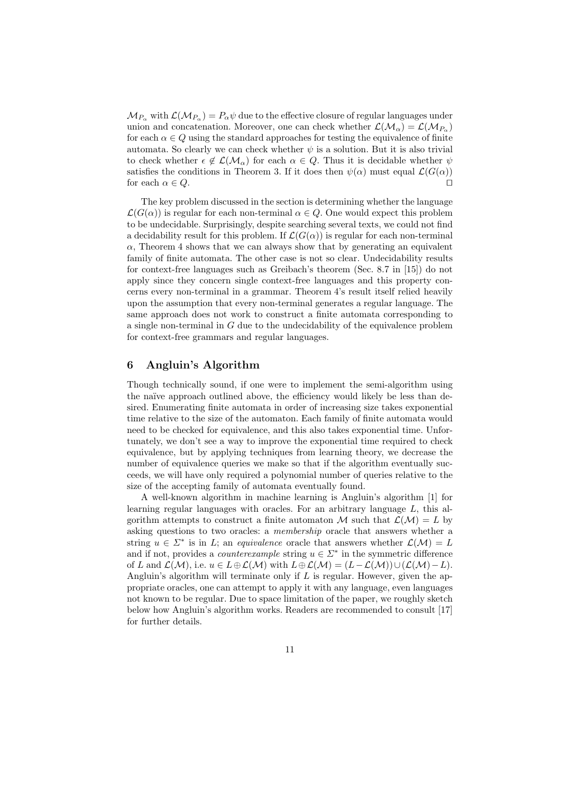${\cal M}_{P_\alpha}$  with  ${\cal L}({\cal M}_{P_\alpha})=P_\alpha\psi$  due to the effective closure of regular languages under union and concatenation. Moreover, one can check whether  $\mathcal{L}(\mathcal{M}_{\alpha}) = \mathcal{L}(\mathcal{M}_{P_{\alpha}})$ for each  $\alpha \in Q$  using the standard approaches for testing the equivalence of finite automata. So clearly we can check whether  $\psi$  is a solution. But it is also trivial to check whether  $\epsilon \notin \mathcal{L}(\mathcal{M}_{\alpha})$  for each  $\alpha \in Q$ . Thus it is decidable whether  $\psi$ satisfies the conditions in Theorem 3. If it does then  $\psi(\alpha)$  must equal  $\mathcal{L}(G(\alpha))$ for each  $\alpha \in Q$ .

The key problem discussed in the section is determining whether the language  $\mathcal{L}(G(\alpha))$  is regular for each non-terminal  $\alpha \in \mathcal{Q}$ . One would expect this problem to be undecidable. Surprisingly, despite searching several texts, we could not find a decidability result for this problem. If  $\mathcal{L}(G(\alpha))$  is regular for each non-terminal  $\alpha$ , Theorem 4 shows that we can always show that by generating an equivalent family of finite automata. The other case is not so clear. Undecidability results for context-free languages such as Greibach's theorem (Sec. 8.7 in [15]) do not apply since they concern single context-free languages and this property concerns every non-terminal in a grammar. Theorem 4's result itself relied heavily upon the assumption that every non-terminal generates a regular language. The same approach does not work to construct a finite automata corresponding to a single non-terminal in  $G$  due to the undecidability of the equivalence problem for context-free grammars and regular languages.

### 6 Angluin's Algorithm

Though technically sound, if one were to implement the semi-algorithm using the naïve approach outlined above, the efficiency would likely be less than desired. Enumerating finite automata in order of increasing size takes exponential time relative to the size of the automaton. Each family of finite automata would need to be checked for equivalence, and this also takes exponential time. Unfortunately, we don't see a way to improve the exponential time required to check equivalence, but by applying techniques from learning theory, we decrease the number of equivalence queries we make so that if the algorithm eventually succeeds, we will have only required a polynomial number of queries relative to the size of the accepting family of automata eventually found.

A well-known algorithm in machine learning is Angluin's algorithm [1] for learning regular languages with oracles. For an arbitrary language L, this algorithm attempts to construct a finite automaton M such that  $\mathcal{L}(\mathcal{M}) = L$  by asking questions to two oracles: a membership oracle that answers whether a string  $u \in \Sigma^*$  is in L; an *equivalence* oracle that answers whether  $\mathcal{L}(\mathcal{M}) = L$ and if not, provides a *counterexample* string  $u \in \Sigma^*$  in the symmetric difference of L and  $\mathcal{L}(\mathcal{M})$ , i.e.  $u \in L \oplus \mathcal{L}(\mathcal{M})$  with  $L \oplus \mathcal{L}(\mathcal{M}) = (L - \mathcal{L}(\mathcal{M})) \cup (\mathcal{L}(\mathcal{M}) - L)$ . Angluin's algorithm will terminate only if  $L$  is regular. However, given the appropriate oracles, one can attempt to apply it with any language, even languages not known to be regular. Due to space limitation of the paper, we roughly sketch below how Angluin's algorithm works. Readers are recommended to consult [17] for further details.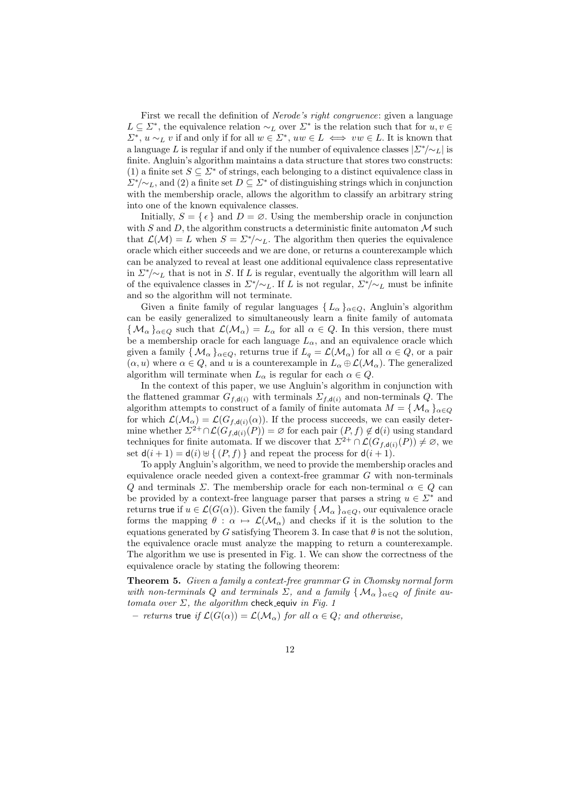First we recall the definition of *Nerode's right congruence*: given a language  $L \subseteq \mathbb{Z}^*$ , the equivalence relation  $\sim_L$  over  $\mathbb{Z}^*$  is the relation such that for  $u, v \in$  $\Sigma^*$ ,  $u \sim_L v$  if and only if for all  $w \in \Sigma^*$ ,  $uw \in L \iff vw \in L$ . It is known that a language L is regular if and only if the number of equivalence classes  $|\Sigma^*/\sim_L|$  is finite. Angluin's algorithm maintains a data structure that stores two constructs: (1) a finite set  $S \subseteq \Sigma^*$  of strings, each belonging to a distinct equivalence class in  $\Sigma^*/{\sim_L}$ , and (2) a finite set  $D \subseteq \Sigma^*$  of distinguishing strings which in conjunction with the membership oracle, allows the algorithm to classify an arbitrary string into one of the known equivalence classes.

Initially,  $S = \{ \epsilon \}$  and  $D = \emptyset$ . Using the membership oracle in conjunction with S and D, the algorithm constructs a deterministic finite automaton  $\mathcal M$  such that  $\mathcal{L}(\mathcal{M}) = L$  when  $S = \Sigma^* / \sim_L$ . The algorithm then queries the equivalence oracle which either succeeds and we are done, or returns a counterexample which can be analyzed to reveal at least one additional equivalence class representative in  $\Sigma^*/\sim_L$  that is not in S. If L is regular, eventually the algorithm will learn all of the equivalence classes in  $\Sigma^*/\sim_L$ . If L is not regular,  $\Sigma^*/\sim_L$  must be infinite and so the algorithm will not terminate.

Given a finite family of regular languages  $\{L_{\alpha}\}_{{\alpha}\in Q}$ , Angluin's algorithm can be easily generalized to simultaneously learn a finite family of automata  $\{\mathcal{M}_{\alpha}\}_{{\alpha}\in Q}$  such that  $\mathcal{L}(\mathcal{M}_{\alpha})=L_{\alpha}$  for all  $\alpha\in Q$ . In this version, there must be a membership oracle for each language  $L_{\alpha}$ , and an equivalence oracle which given a family  $\{M_{\alpha}\}_{{\alpha}\in Q}$ , returns true if  $L_q = \mathcal{L}(\mathcal{M}_{\alpha})$  for all  $\alpha \in Q$ , or a pair  $(\alpha, u)$  where  $\alpha \in Q$ , and u is a counterexample in  $L_{\alpha} \oplus \mathcal{L}(\mathcal{M}_{\alpha})$ . The generalized algorithm will terminate when  $L_{\alpha}$  is regular for each  $\alpha \in Q$ .

In the context of this paper, we use Angluin's algorithm in conjunction with the flattened grammar  $G_{f,d(i)}$  with terminals  $\Sigma_{f,d(i)}$  and non-terminals Q. The algorithm attempts to construct of a family of finite automata  $M = \{ \mathcal{M}_{\alpha} \}_{\alpha \in Q}$ for which  $\mathcal{L}(\mathcal{M}_{\alpha}) = \mathcal{L}(G_{f,d(i)}(\alpha))$ . If the process succeeds, we can easily determine whether  $\Sigma^{2+} \cap \mathcal{L}(G_{f,d(i)}(P)) = \varnothing$  for each pair  $(P, f) \notin d(i)$  using standard techniques for finite automata. If we discover that  $\Sigma^{2+} \cap \mathcal{L}(G_{f,d(i)}(P)) \neq \emptyset$ , we set  $d(i + 1) = d(i) \oplus \{ (P, f) \}$  and repeat the process for  $d(i + 1)$ .

To apply Angluin's algorithm, we need to provide the membership oracles and equivalence oracle needed given a context-free grammar G with non-terminals Q and terminals  $\Sigma$ . The membership oracle for each non-terminal  $\alpha \in Q$  can be provided by a context-free language parser that parses a string  $u \in \Sigma^*$  and returns true if  $u \in \mathcal{L}(G(\alpha))$ . Given the family  $\{ \mathcal{M}_{\alpha} \}_{\alpha \in \mathcal{Q}}$ , our equivalence oracle forms the mapping  $\theta : \alpha \mapsto \mathcal{L}(\mathcal{M}_{\alpha})$  and checks if it is the solution to the equations generated by G satisfying Theorem 3. In case that  $\theta$  is not the solution, the equivalence oracle must analyze the mapping to return a counterexample. The algorithm we use is presented in Fig. 1. We can show the correctness of the equivalence oracle by stating the following theorem:

Theorem 5. Given a family a context-free grammar G in Chomsky normal form with non-terminals Q and terminals  $\Sigma$ , and a family  $\{M_{\alpha}\}_{{\alpha}\in{\mathcal{O}}}$  of finite automata over  $\Sigma$ , the algorithm check equiv in Fig. 1

– returns true if  $\mathcal{L}(G(\alpha)) = \mathcal{L}(\mathcal{M}_{\alpha})$  for all  $\alpha \in \mathcal{Q}$ ; and otherwise,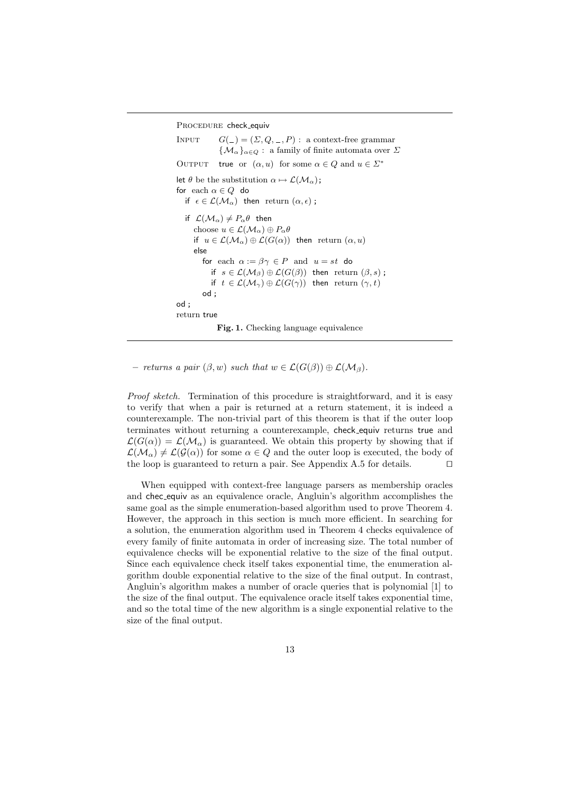PROCEDURE check\_equiv

INPUT  $G(z) = (\Sigma, Q, z, P)$ : a context-free grammar  ${\{\mathcal{M}_{\alpha}\}}_{\alpha\in\mathcal{Q}}$ : a family of finite automata over  $\Sigma$ OUTPUT true or  $(\alpha, u)$  for some  $\alpha \in Q$  and  $u \in \Sigma^*$ let  $\theta$  be the substitution  $\alpha \mapsto \mathcal{L}(\mathcal{M}_{\alpha});$ for each  $\alpha \in Q$  do if  $\epsilon \in \mathcal{L}(\mathcal{M}_{\alpha})$  then return  $(\alpha, \epsilon)$ ; if  $\mathcal{L}(\mathcal{M}_{\alpha}) \neq P_{\alpha}\theta$  then choose  $u \in \mathcal{L}(\mathcal{M}_{\alpha}) \oplus P_{\alpha}\theta$ if  $u \in \mathcal{L}(\mathcal{M}_{\alpha}) \oplus \mathcal{L}(G(\alpha))$  then return  $(\alpha, u)$ else for each  $\alpha := \beta \gamma \in P$  and  $u = st$  do if  $s \in \mathcal{L}(\mathcal{M}_{\beta}) \oplus \mathcal{L}(G(\beta))$  then return  $(\beta, s)$ ; if  $t \in \mathcal{L}(\mathcal{M}_{\gamma}) \oplus \mathcal{L}(G(\gamma))$  then return  $(\gamma, t)$ od ; od ; return true

Fig. 1. Checking language equivalence

– returns a pair  $(\beta, w)$  such that  $w \in \mathcal{L}(G(\beta)) \oplus \mathcal{L}(\mathcal{M}_{\beta})$ .

Proof sketch. Termination of this procedure is straightforward, and it is easy to verify that when a pair is returned at a return statement, it is indeed a counterexample. The non-trivial part of this theorem is that if the outer loop terminates without returning a counterexample, check equiv returns true and  $\mathcal{L}(G(\alpha)) = \mathcal{L}(\mathcal{M}_{\alpha})$  is guaranteed. We obtain this property by showing that if  $\mathcal{L}(\mathcal{M}_{\alpha}) \neq \mathcal{L}(\mathcal{G}(\alpha))$  for some  $\alpha \in Q$  and the outer loop is executed, the body of the loop is guaranteed to return a pair. See Appendix A.5 for details.  $\Box$ 

When equipped with context-free language parsers as membership oracles and chec equiv as an equivalence oracle, Angluin's algorithm accomplishes the same goal as the simple enumeration-based algorithm used to prove Theorem 4. However, the approach in this section is much more efficient. In searching for a solution, the enumeration algorithm used in Theorem 4 checks equivalence of every family of finite automata in order of increasing size. The total number of equivalence checks will be exponential relative to the size of the final output. Since each equivalence check itself takes exponential time, the enumeration algorithm double exponential relative to the size of the final output. In contrast, Angluin's algorithm makes a number of oracle queries that is polynomial [1] to the size of the final output. The equivalence oracle itself takes exponential time, and so the total time of the new algorithm is a single exponential relative to the size of the final output.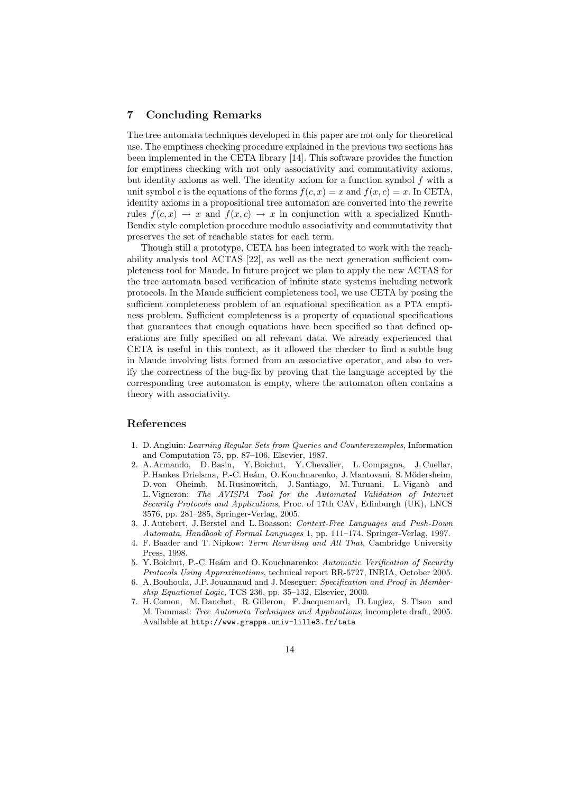### 7 Concluding Remarks

The tree automata techniques developed in this paper are not only for theoretical use. The emptiness checking procedure explained in the previous two sections has been implemented in the CETA library [14]. This software provides the function for emptiness checking with not only associativity and commutativity axioms, but identity axioms as well. The identity axiom for a function symbol  $f$  with a unit symbol c is the equations of the forms  $f(c, x) = x$  and  $f(x, c) = x$ . In CETA, identity axioms in a propositional tree automaton are converted into the rewrite rules  $f(c, x) \rightarrow x$  and  $f(x, c) \rightarrow x$  in conjunction with a specialized Knuth-Bendix style completion procedure modulo associativity and commutativity that preserves the set of reachable states for each term.

Though still a prototype, CETA has been integrated to work with the reachability analysis tool ACTAS [22], as well as the next generation sufficient completeness tool for Maude. In future project we plan to apply the new ACTAS for the tree automata based verification of infinite state systems including network protocols. In the Maude sufficient completeness tool, we use CETA by posing the sufficient completeness problem of an equational specification as a PTA emptiness problem. Sufficient completeness is a property of equational specifications that guarantees that enough equations have been specified so that defined operations are fully specified on all relevant data. We already experienced that CETA is useful in this context, as it allowed the checker to find a subtle bug in Maude involving lists formed from an associative operator, and also to verify the correctness of the bug-fix by proving that the language accepted by the corresponding tree automaton is empty, where the automaton often contains a theory with associativity.

### References

- 1. D. Angluin: Learning Regular Sets from Queries and Counterexamples, Information and Computation 75, pp. 87–106, Elsevier, 1987.
- 2. A. Armando, D. Basin, Y. Boichut, Y. Chevalier, L. Compagna, J. Cuellar, P. Hankes Drielsma, P.-C. Heám, O. Kouchnarenko, J. Mantovani, S. Mödersheim, D. von Oheimb, M. Rusinowitch, J. Santiago, M. Turuani, L. Viganò and L. Vigneron: The AVISPA Tool for the Automated Validation of Internet Security Protocols and Applications, Proc. of 17th CAV, Edinburgh (UK), LNCS 3576, pp. 281–285, Springer-Verlag, 2005.
- 3. J. Autebert, J. Berstel and L. Boasson: Context-Free Languages and Push-Down Automata, Handbook of Formal Languages 1, pp. 111–174. Springer-Verlag, 1997.
- 4. F. Baader and T. Nipkow: Term Rewriting and All That, Cambridge University Press, 1998.
- 5. Y. Boichut, P.-C. Heám and O. Kouchnarenko: Automatic Verification of Security Protocols Using Approximations, technical report RR-5727, INRIA, October 2005.
- 6. A. Bouhoula, J.P. Jouannaud and J. Meseguer: Specification and Proof in Membership Equational Logic, TCS 236, pp. 35–132, Elsevier, 2000.
- 7. H. Comon, M. Dauchet, R. Gilleron, F. Jacquemard, D. Lugiez, S. Tison and M. Tommasi: Tree Automata Techniques and Applications, incomplete draft, 2005. Available at http://www.grappa.univ-lille3.fr/tata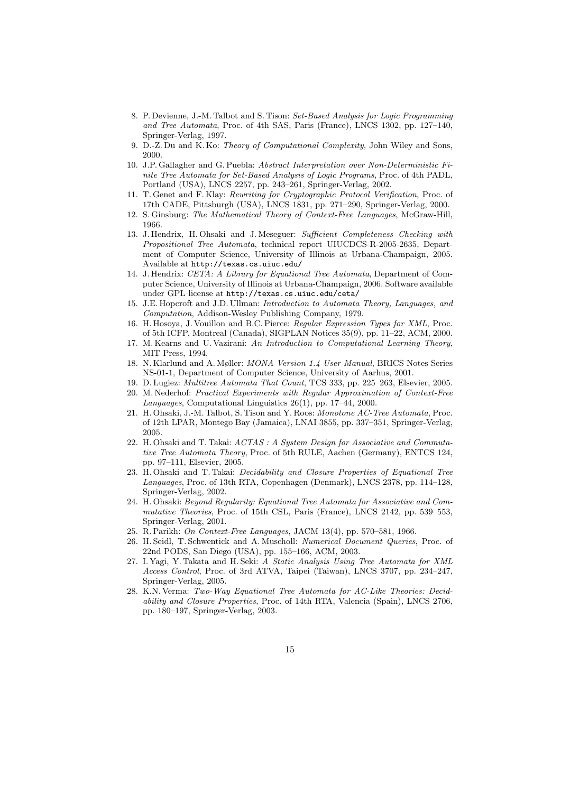- 8. P. Devienne, J.-M. Talbot and S. Tison: Set-Based Analysis for Logic Programming and Tree Automata, Proc. of 4th SAS, Paris (France), LNCS 1302, pp. 127–140, Springer-Verlag, 1997.
- 9. D.-Z. Du and K. Ko: Theory of Computational Complexity, John Wiley and Sons, 2000.
- 10. J.P. Gallagher and G. Puebla: Abstract Interpretation over Non-Deterministic Finite Tree Automata for Set-Based Analysis of Logic Programs, Proc. of 4th PADL, Portland (USA), LNCS 2257, pp. 243–261, Springer-Verlag, 2002.
- 11. T. Genet and F. Klay: Rewriting for Cryptographic Protocol Verification, Proc. of 17th CADE, Pittsburgh (USA), LNCS 1831, pp. 271–290, Springer-Verlag, 2000.
- 12. S. Ginsburg: The Mathematical Theory of Context-Free Languages, McGraw-Hill, 1966.
- 13. J. Hendrix, H. Ohsaki and J. Meseguer: Sufficient Completeness Checking with Propositional Tree Automata, technical report UIUCDCS-R-2005-2635, Department of Computer Science, University of Illinois at Urbana-Champaign, 2005. Available at http://texas.cs.uiuc.edu/
- 14. J. Hendrix: CETA: A Library for Equational Tree Automata, Department of Computer Science, University of Illinois at Urbana-Champaign, 2006. Software available under GPL license at http://texas.cs.uiuc.edu/ceta/
- 15. J.E. Hopcroft and J.D. Ullman: Introduction to Automata Theory, Languages, and Computation, Addison-Wesley Publishing Company, 1979.
- 16. H. Hosoya, J. Vouillon and B.C. Pierce: Regular Expression Types for XML, Proc. of 5th ICFP, Montreal (Canada), SIGPLAN Notices 35(9), pp. 11–22, ACM, 2000.
- 17. M. Kearns and U. Vazirani: An Introduction to Computational Learning Theory, MIT Press, 1994.
- 18. N. Klarlund and A. Møller: MONA Version 1.4 User Manual, BRICS Notes Series NS-01-1, Department of Computer Science, University of Aarhus, 2001.
- 19. D. Lugiez: Multitree Automata That Count, TCS 333, pp. 225–263, Elsevier, 2005.
- 20. M. Nederhof: Practical Experiments with Regular Approximation of Context-Free Languages, Computational Linguistics 26(1), pp. 17–44, 2000.
- 21. H. Ohsaki, J.-M. Talbot, S. Tison and Y. Roos: Monotone AC-Tree Automata, Proc. of 12th LPAR, Montego Bay (Jamaica), LNAI 3855, pp. 337–351, Springer-Verlag, 2005.
- 22. H. Ohsaki and T. Takai: ACTAS : A System Design for Associative and Commutative Tree Automata Theory, Proc. of 5th RULE, Aachen (Germany), ENTCS 124, pp. 97–111, Elsevier, 2005.
- 23. H. Ohsaki and T. Takai: Decidability and Closure Properties of Equational Tree Languages, Proc. of 13th RTA, Copenhagen (Denmark), LNCS 2378, pp. 114–128, Springer-Verlag, 2002.
- 24. H. Ohsaki: Beyond Regularity: Equational Tree Automata for Associative and Commutative Theories, Proc. of 15th CSL, Paris (France), LNCS 2142, pp. 539–553, Springer-Verlag, 2001.
- 25. R. Parikh: On Context-Free Languages, JACM 13(4), pp. 570–581, 1966.
- 26. H. Seidl, T. Schwentick and A. Muscholl: Numerical Document Queries, Proc. of 22nd PODS, San Diego (USA), pp. 155–166, ACM, 2003.
- 27. I. Yagi, Y. Takata and H. Seki: A Static Analysis Using Tree Automata for XML Access Control, Proc. of 3rd ATVA, Taipei (Taiwan), LNCS 3707, pp. 234–247, Springer-Verlag, 2005.
- 28. K.N. Verma: Two-Way Equational Tree Automata for AC-Like Theories: Decidability and Closure Properties, Proc. of 14th RTA, Valencia (Spain), LNCS 2706, pp. 180–197, Springer-Verlag, 2003.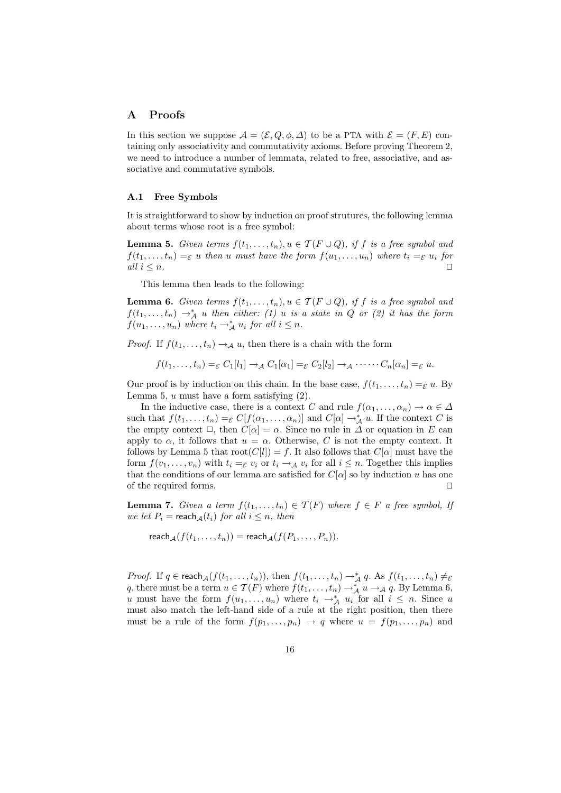#### A Proofs

In this section we suppose  $\mathcal{A} = (\mathcal{E}, Q, \phi, \Delta)$  to be a PTA with  $\mathcal{E} = (F, E)$  containing only associativity and commutativity axioms. Before proving Theorem 2, we need to introduce a number of lemmata, related to free, associative, and associative and commutative symbols.

#### A.1 Free Symbols

It is straightforward to show by induction on proof strutures, the following lemma about terms whose root is a free symbol:

**Lemma 5.** Given terms  $f(t_1, \ldots, t_n), u \in \mathcal{T}(F \cup Q)$ , if f is a free symbol and  $f(t_1,..., t_n) =_{\mathcal{E}} u$  then u must have the form  $f(u_1,..., u_n)$  where  $t_i =_{\mathcal{E}} u_i$  for all  $i \leq n$ .

This lemma then leads to the following:

**Lemma 6.** Given terms  $f(t_1, \ldots, t_n), u \in \mathcal{T}(F \cup Q)$ , if f is a free symbol and  $f(t_1,\ldots,t_n) \to^*_{\mathcal{A}} u$  then either: (1) u is a state in Q or (2) it has the form  $f(u_1, \ldots, u_n)$  where  $t_i \rightarrow_A^* u_i$  for all  $i \leq n$ .

*Proof.* If  $f(t_1, \ldots, t_n) \rightarrow_A u$ , then there is a chain with the form

$$
f(t_1,\ldots,t_n)=\varepsilon C_1[l_1]\to A C_1[\alpha_1]=\varepsilon C_2[l_2]\to A \cdots C_n[\alpha_n]=\varepsilon u.
$$

Our proof is by induction on this chain. In the base case,  $f(t_1, \ldots, t_n) =_{\mathcal{E}} u$ . By Lemma 5,  $u$  must have a form satisfying  $(2)$ .

In the inductive case, there is a context C and rule  $f(\alpha_1, \ldots, \alpha_n) \to \alpha \in \Delta$ such that  $f(t_1,...,t_n) = \varepsilon C[f(\alpha_1,...,\alpha_n)]$  and  $C[\alpha] \to_{\mathcal{A}}^* u$ . If the context C is the empty context  $\Box$ , then  $C[\alpha] = \alpha$ . Since no rule in  $\Delta$  or equation in E can apply to  $\alpha$ , it follows that  $u = \alpha$ . Otherwise, C is not the empty context. It follows by Lemma 5 that  $\text{root}(C[l]) = f$ . It also follows that  $C[\alpha]$  must have the form  $f(v_1, \ldots, v_n)$  with  $t_i = \varepsilon v_i$  or  $t_i \to A v_i$  for all  $i \leq n$ . Together this implies that the conditions of our lemma are satisfied for  $C[\alpha]$  so by induction u has one of the required forms.  $\Box$ 

**Lemma 7.** Given a term  $f(t_1, \ldots, t_n) \in \mathcal{T}(F)$  where  $f \in F$  a free symbol, If we let  $P_i = \text{reach}_{\mathcal{A}}(t_i)$  for all  $i \leq n$ , then

$$
\operatorname{reach}_{\mathcal{A}}(f(t_1,\ldots,t_n)) = \operatorname{reach}_{\mathcal{A}}(f(P_1,\ldots,P_n)).
$$

*Proof.* If  $q \in \text{reach}_{\mathcal{A}}(f(t_1, \ldots, t_n)),$  then  $f(t_1, \ldots, t_n) \to_{\mathcal{A}}^* q$ . As  $f(t_1, \ldots, t_n) \neq \varepsilon$ q, there must be a term  $u \in \mathcal{T}(F)$  where  $f(t_1, \ldots, t_n) \to^*_{\mathcal{A}} u \to_{\mathcal{A}} q$ . By Lemma 6, u must have the form  $f(u_1, \ldots, u_n)$  where  $t_i \to^*_{\mathcal{A}} u_i$  for all  $i \leq n$ . Since u must also match the left-hand side of a rule at the right position, then there must be a rule of the form  $f(p_1, \ldots, p_n) \to q$  where  $u = f(p_1, \ldots, p_n)$  and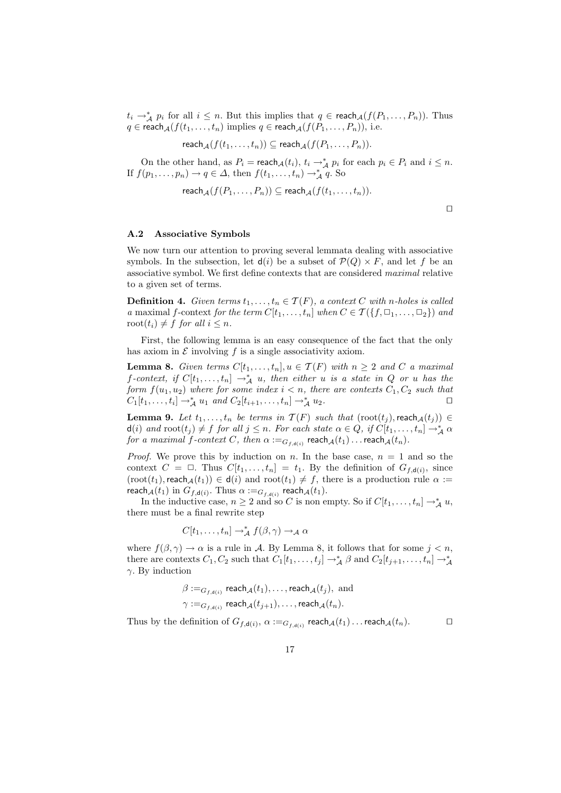$t_i \to^*_{\mathcal{A}} p_i$  for all  $i \leq n$ . But this implies that  $q \in \text{reach}_{\mathcal{A}}(f(P_1, \ldots, P_n))$ . Thus  $q \in \text{reach}_{\mathcal{A}}(f(t_1, \ldots, t_n) \text{ implies } q \in \text{reach}_{\mathcal{A}}(f(P_1, \ldots, P_n)), \text{ i.e.}$ 

$$
\mathsf{reach}_{\mathcal{A}}(f(t_1,\ldots,t_n)) \subseteq \mathsf{reach}_{\mathcal{A}}(f(P_1,\ldots,P_n)).
$$

On the other hand, as  $P_i = \text{reach}_{\mathcal{A}}(t_i)$ ,  $t_i \to_{\mathcal{A}}^* p_i$  for each  $p_i \in P_i$  and  $i \leq n$ . If  $f(p_1, \ldots, p_n) \to q \in \Delta$ , then  $f(t_1, \ldots, t_n) \to_A^* q$ . So

$$
\text{reach}_{\mathcal{A}}(f(P_1,\ldots,P_n)) \subseteq \text{reach}_{\mathcal{A}}(f(t_1,\ldots,t_n)).
$$

 $\Box$ 

#### A.2 Associative Symbols

We now turn our attention to proving several lemmata dealing with associative symbols. In the subsection, let  $d(i)$  be a subset of  $\mathcal{P}(Q) \times F$ , and let f be an associative symbol. We first define contexts that are considered maximal relative to a given set of terms.

**Definition 4.** Given terms  $t_1, \ldots, t_n \in \mathcal{T}(F)$ , a context C with n-holes is called a maximal f-context for the term  $C[t_1, \ldots, t_n]$  when  $C \in \mathcal{T}(\{f, \Box_1, \ldots, \Box_2\})$  and root $(t_i) \neq f$  for all  $i \leq n$ .

First, the following lemma is an easy consequence of the fact that the only has axiom in  $\mathcal E$  involving f is a single associativity axiom.

**Lemma 8.** Given terms  $C[t_1, \ldots, t_n], u \in \mathcal{T}(F)$  with  $n \geq 2$  and C a maximal f-context, if  $C[t_1,\ldots,t_n] \to^*_{\mathcal{A}} u$ , then either u is a state in Q or u has the form  $f(u_1, u_2)$  where for some index  $i < n$ , there are contexts  $C_1, C_2$  such that  $C_1[t_1, ..., t_i] \to^*_{\mathcal{A}} u_1 \text{ and } C_2[t_{i+1}, ..., t_n] \to^*_{\mathcal{A}} u_2.$ 

**Lemma 9.** Let  $t_1, \ldots, t_n$  be terms in  $\mathcal{T}(F)$  such that  $(\text{root}(t_i), \text{reach}_{\mathcal{A}}(t_i)) \in$  $\mathsf{d}(i)$  and  $\mathrm{root}(t_j) \neq f$  for all  $j \leq n$ . For each state  $\alpha \in Q$ , if  $C[t_1, \ldots, t_n] \to_A^* \alpha$  ${\it for\,\,a\,\, maximal\,\, f\text{-}context\,\,C},\,\, {\it then\,\,} \alpha :=_{G_{f,d(i)}} {\sf reach}_{\mathcal{A}}(t_1)\dots{\sf reach}_{\mathcal{A}}(t_n).$ 

*Proof.* We prove this by induction on n. In the base case,  $n = 1$  and so the context  $C = \Box$ . Thus  $C[t_1, \ldots, t_n] = t_1$ . By the definition of  $G_{f, \mathsf{d}(i)}$ , since  $(\text{root}(t_1), \text{reach}_{\mathcal{A}}(t_1)) \in d(i)$  and  $\text{root}(t_1) \neq f$ , there is a production rule  $\alpha :=$ reach ${}_{\mathcal{A}}(t_1)$  in  $G_{f, \mathsf{d}(i)}.$  Thus  $\alpha :=_{G_{f, \mathsf{d}(i)}}$  reach ${}_{\mathcal{A}}(t_1).$ 

In the inductive case,  $n \geq 2$  and so C is non empty. So if  $C[t_1, \ldots, t_n] \to_M^* u$ , there must be a final rewrite step

$$
C[t_1,\ldots,t_n] \to^*_{\mathcal{A}} f(\beta,\gamma) \to_{\mathcal{A}} \alpha
$$

where  $f(\beta, \gamma) \to \alpha$  is a rule in A. By Lemma 8, it follows that for some  $j < n$ , there are contexts  $C_1, C_2$  such that  $C_1[t_1, \ldots, t_j] \to_A^* \beta$  and  $C_2[t_{j+1}, \ldots, t_n] \to_A^*$  $\gamma$ . By induction

$$
\beta :=_{G_{f,d(i)}} \text{reach}_{\mathcal{A}}(t_1), \dots, \text{reach}_{\mathcal{A}}(t_j), \text{ and}
$$

$$
\gamma :=_{G_{f,d(i)}} \text{reach}_{\mathcal{A}}(t_{j+1}), \dots, \text{reach}_{\mathcal{A}}(t_n).
$$

Thus by the definition of  $G_{f,d(i)}, \alpha :=_{G_{f,d(i)}}$  reach $_A(t_1) \dots$  reach $_A(t_n)$ .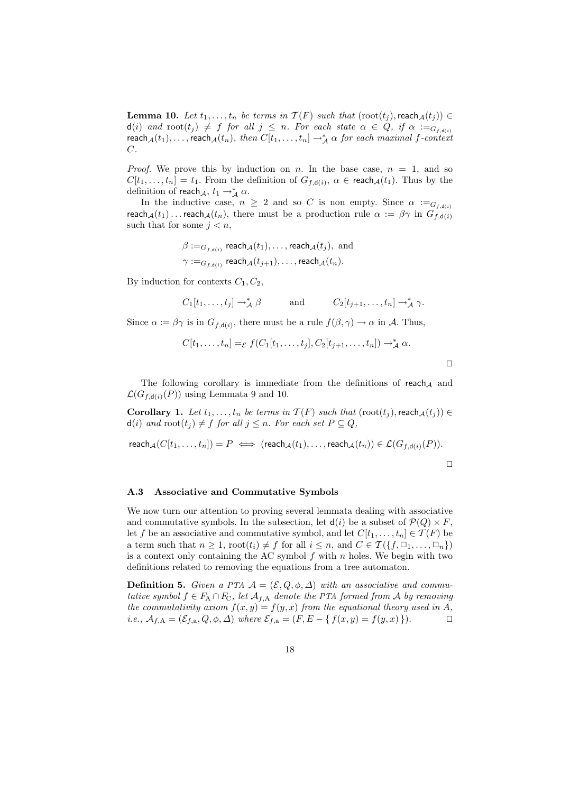**Lemma 10.** Let  $t_1, \ldots, t_n$  be terms in  $\mathcal{T}(F)$  such that  $(\text{root}(t_j), \text{reach}_{\mathcal{A}}(t_j)) \in$  $d(i)$  and  $root(t_j) \neq f$  for all  $j \leq n$ . For each state  $\alpha \in Q$ , if  $\alpha :=_{G_{f,d(i)}}$  ${\sf reach}_\mathcal{A}(t_1), \ldots, {\sf reach}_\mathcal{A}(t_n),~ then~ C[t_1, \ldots, t_n] \to_\mathcal{A}^* \alpha ~for~ each~ maximal~ f\text{-}context$ C.

*Proof.* We prove this by induction on n. In the base case,  $n = 1$ , and so  $C[t_1,\ldots,t_n]=t_1.$  From the definition of  $G_{f,d(i)},\ \alpha\in \mathsf{reach}_\mathcal{A}(t_1).$  Thus by the definition of reach<sub>*A*</sub>,  $t_1 \rightarrow_A^* \alpha$ .

In the inductive case,  $n \geq 2$  and so C is non empty. Since  $\alpha :=_{G_{f,d(i)}}$ reach $A(t_1)$ ... reach $A(t_n)$ , there must be a production rule  $\alpha := \beta \gamma$  in  $G_{f,d(i)}$ such that for some  $j < n$ ,

$$
\beta :=_{G_{f,\mathsf{d}(i)}} \mathsf{reach}_{\mathcal{A}}(t_1), \dots, \mathsf{reach}_{\mathcal{A}}(t_j), \text{ and}
$$

$$
\gamma :=_{G_{f,\mathsf{d}(i)}} \mathsf{reach}_{\mathcal{A}}(t_{j+1}), \dots, \mathsf{reach}_{\mathcal{A}}(t_n).
$$

By induction for contexts  $C_1, C_2$ ,

$$
C_1[t_1,\ldots,t_j] \to^*_{\mathcal{A}} \beta
$$
 and  $C_2[t_{j+1},\ldots,t_n] \to^*_{\mathcal{A}} \gamma$ .

Since  $\alpha := \beta \gamma$  is in  $G_{f,d(i)}$ , there must be a rule  $f(\beta, \gamma) \to \alpha$  in A. Thus,

$$
C[t_1, ..., t_n] =_{\mathcal{E}} f(C_1[t_1, ..., t_j], C_2[t_{j+1}, ..., t_n]) \to_{\mathcal{A}}^* \alpha.
$$

The following corollary is immediate from the definitions of  $\mathsf{reach}_\mathcal{A}$  and  $\mathcal{L}(G_{f,d(i)}(P))$  using Lemmata 9 and 10.

Corollary 1. Let  $t_1, \ldots, t_n$  be terms in  $\mathcal{T}(F)$  such that  $(\text{root}(t_j), \text{reach}_{\mathcal{A}}(t_j)) \in$  $d(i)$  and  $\text{root}(t_j) \neq f$  for all  $j \leq n$ . For each set  $P \subseteq Q$ ,

$$
\text{reach}_{\mathcal{A}}(C[t_1,\ldots,t_n]) = P \iff (\text{reach}_{\mathcal{A}}(t_1),\ldots,\text{reach}_{\mathcal{A}}(t_n)) \in \mathcal{L}(G_{f,\text{d}(i)}(P)).
$$

 $\Box$ 

 $\Box$ 

#### A.3 Associative and Commutative Symbols

We now turn our attention to proving several lemmata dealing with associative and commutative symbols. In the subsection, let  $d(i)$  be a subset of  $\mathcal{P}(Q) \times F$ , let f be an associative and commutative symbol, and let  $C[t_1, \ldots, t_n] \in \mathcal{T}(F)$  be a term such that  $n \geq 1$ ,  $\text{root}(t_i) \neq f$  for all  $i \leq n$ , and  $C \in \mathcal{T}(\lbrace f, \Box_1, \ldots, \Box_n \rbrace)$ is a context only containing the AC symbol  $f$  with  $n$  holes. We begin with two definitions related to removing the equations from a tree automaton.

**Definition 5.** Given a PTA  $A = (\mathcal{E}, Q, \phi, \Delta)$  with an associative and commutative symbol  $f \in F_A \cap F_C$ , let  $\mathcal{A}_{f,A}$  denote the PTA formed from A by removing the commutativity axiom  $f(x, y) = f(y, x)$  from the equational theory used in A, i.e.,  $A_{f,A} = (\mathcal{E}_{f,a}, Q, \phi, \Delta)$  where  $\mathcal{E}_{f,a} = (F, E - \{f(x,y) = f(y,x)\})$ .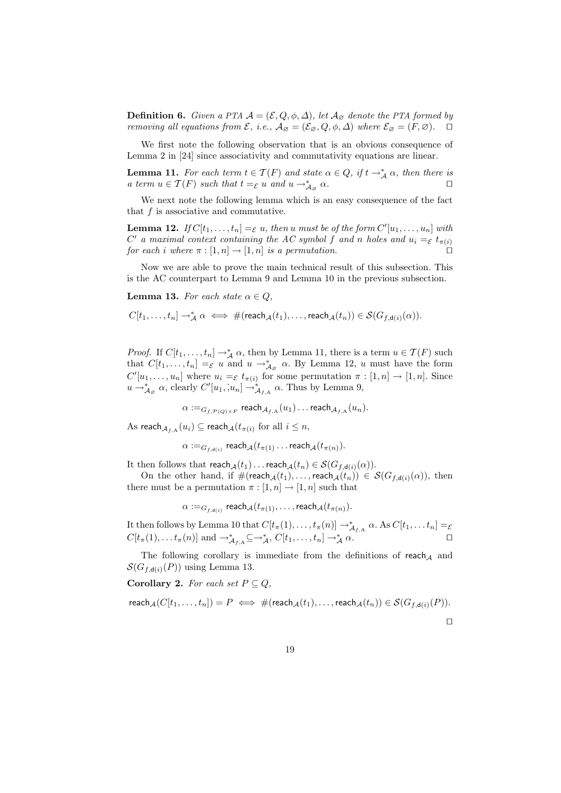**Definition 6.** Given a PTA  $A = (\mathcal{E}, Q, \phi, \Delta)$ , let  $\mathcal{A}_{\emptyset}$  denote the PTA formed by removing all equations from  $\mathcal{E}$ , i.e.,  $\mathcal{A}_{\varnothing} = (\mathcal{E}_{\varnothing}, Q, \phi, \Delta)$  where  $\mathcal{E}_{\varnothing} = (F, \varnothing)$ .  $\square$ 

We first note the following observation that is an obvious consequence of Lemma 2 in [24] since associativity and commutativity equations are linear.

**Lemma 11.** For each term  $t \in \mathcal{T}(F)$  and state  $\alpha \in Q$ , if  $t \to^*_{\mathcal{A}} \alpha$ , then there is a term  $u \in \mathcal{T}(F)$  such that  $t =_{\mathcal{E}} u$  and  $u \to_{\mathcal{A}_{\mathcal{B}}}^*$  $\alpha$ .

We next note the following lemma which is an easy consequence of the fact that  $f$  is associative and commutative.

**Lemma 12.** If  $C[t_1, \ldots, t_n] =_{\mathcal{E}} u$ , then u must be of the form  $C'[u_1, \ldots, u_n]$  with C' a maximal context containing the AC symbol f and n holes and  $u_i = \varepsilon t_{\pi(i)}$ for each i where  $\pi : [1, n] \to [1, n]$  is a permutation.

Now we are able to prove the main technical result of this subsection. This is the AC counterpart to Lemma 9 and Lemma 10 in the previous subsection.

**Lemma 13.** For each state  $\alpha \in Q$ ,

$$
C[t_1,\ldots,t_n] \to_{\mathcal{A}}^* \alpha \iff \#(\mathsf{reach}_{\mathcal{A}}(t_1),\ldots,\mathsf{reach}_{\mathcal{A}}(t_n)) \in \mathcal{S}(G_{f,\mathsf{d}(i)}(\alpha)).
$$

*Proof.* If  $C[t_1, \ldots, t_n] \to_{\mathcal{A}}^* \alpha$ , then by Lemma 11, there is a term  $u \in \mathcal{T}(F)$  such that  $C[t_1, \ldots, t_n] =_{\mathcal{E}} u$  and  $u \to_{\mathcal{A}_{\varnothing}}^* \alpha$ . By Lemma 12, u must have the form  $C'[u_1,\ldots,u_n]$  where  $u_i =_\mathcal{E} t_{\pi(i)}$  for some permutation  $\pi : [1,n] \to [1,n]$ . Since  $u \rightarrow^*_{\mathcal{A}_{\varnothing}} \alpha$ , clearly  $C'[u_1, u_n] \rightarrow^*_{\mathcal{A}_{f, A}} \alpha$ . Thus by Lemma 9,

$$
\alpha :=_{G_{f,\mathcal{P}(Q)\times F}} \mathsf{reach}_{\mathcal{A}_{f,\mathcal{A}}}(u_1)\ldots \mathsf{reach}_{\mathcal{A}_{f,\mathcal{A}}}(u_n).
$$

As reach $A_{f,A}(u_i) \subseteq$  reach $A(t_{\pi(i)}$  for all  $i \leq n$ ,

$$
\alpha :=_{G_{f,\mathsf{d}(i)}} \mathsf{reach}_{\mathcal{A}}(t_{\pi(1)} \ldots \mathsf{reach}_{\mathcal{A}}(t_{\pi(n)}).
$$

It then follows that  $\mathsf{reach}_{\mathcal{A}}(t_1)\dots \mathsf{reach}_{\mathcal{A}}(t_n) \in \mathcal{S}(G_{f, \mathsf{d}(i)}(\alpha)).$ 

On the other hand, if  $\#(\text{reach}_{\mathcal{A}}(t_1), \ldots, \text{reach}_{\mathcal{A}}(t_n)) \in \mathcal{S}(G_{f, \mathsf{d}(i)}(\alpha)),$  then there must be a permutation  $\pi : [1, n] \to [1, n]$  such that

$$
\alpha :=_{G_{f,\mathsf{d}(i)}} \mathsf{reach}_{\mathcal{A}}(t_{\pi(1)}, \dots, \mathsf{reach}_{\mathcal{A}}(t_{\pi(n)}).
$$

It then follows by Lemma 10 that  $C[t_{\pi}(1),...,t_{\pi}(n)] \to^{*}_{A_{f,A}} \alpha$ . As  $C[t_1,...t_n] = \varepsilon$  $C[t_{\pi}(1),...,t_{\pi}(n)]$  and  $\rightarrow^*_{\mathcal{A}_{f,A}} \subseteq \rightarrow^*_{\mathcal{A}}, C[t_1,...,t_n] \rightarrow^*_{\mathcal{A}} \alpha$ .

The following corollary is immediate from the definitions of reach<sub>A</sub> and  $\mathcal{S}(G_{f,d(i)}(P))$  using Lemma 13.

Corollary 2. For each set  $P \subseteq Q$ .

$$
\text{reach}_{\mathcal{A}}(C[t_1,\ldots,t_n]) = P \iff \#(\text{reach}_{\mathcal{A}}(t_1),\ldots,\text{reach}_{\mathcal{A}}(t_n)) \in \mathcal{S}(G_{f,\textbf{d}(i)}(P)).
$$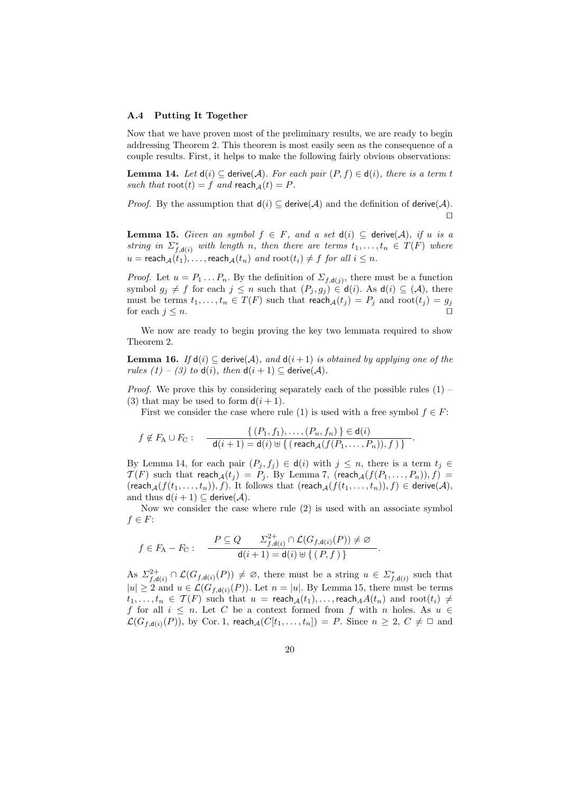#### A.4 Putting It Together

Now that we have proven most of the preliminary results, we are ready to begin addressing Theorem 2. This theorem is most easily seen as the consequence of a couple results. First, it helps to make the following fairly obvious observations:

**Lemma 14.** Let  $d(i) \subseteq$  derive(A). For each pair  $(P, f) \in d(i)$ , there is a term t such that  $\text{root}(t) = f$  and  $\text{reach}_A(t) = P$ .

*Proof.* By the assumption that  $d(i) \subseteq$  derive(A) and the definition of derive(A).  $\Box$ 

**Lemma 15.** Given an symbol  $f \in F$ , and a set  $d(i) \subseteq$  derive(A), if u is a string in  $\sum_{f,\mathsf{d}(i)}^*$  with length n, then there are terms  $t_1,\ldots,t_n \in T(F)$  where  $u = \text{reach}_{\mathcal{A}}(t_1), \ldots, \text{reach}_{\mathcal{A}}(t_n)$  and  $\text{root}(t_i) \neq f$  for all  $i \leq n$ .

*Proof.* Let  $u = P_1 \dots P_n$ . By the definition of  $\sum_{f,d(j)}$ , there must be a function symbol  $g_i \neq f$  for each  $j \leq n$  such that  $(P_j, g_j) \in d(i)$ . As  $d(i) \subseteq (A)$ , there must be terms  $t_1, \ldots, t_n \in T(F)$  such that reach  $\mathcal{A}(t_j) = P_j$  and  $\text{root}(t_j) = g_j$ for each  $j \leq n$ .

We now are ready to begin proving the key two lemmata required to show Theorem 2.

**Lemma 16.** If  $d(i) \subseteq$  derive(A), and  $d(i+1)$  is obtained by applying one of the rules (1) – (3) to  $d(i)$ , then  $d(i + 1) \subseteq$  derive(A).

*Proof.* We prove this by considering separately each of the possible rules  $(1)$  – (3) that may be used to form  $d(i + 1)$ .

First we consider the case where rule (1) is used with a free symbol  $f \in F$ :

.

$$
f \notin F_{A} \cup F_{C}: \quad \frac{\{(P_1, f_1), \dots, (P_n, f_n)\} \in \mathsf{d}(i)}{\mathsf{d}(i+1) = \mathsf{d}(i) \cup \{(\text{reach}_{\mathcal{A}}(f(P_1, \dots, P_n)), f)\}\}
$$

By Lemma 14, for each pair  $(P_i, f_i) \in d(i)$  with  $j \leq n$ , there is a term  $t_i \in$  $\mathcal{T}(F)$  such that reach  $\mathcal{A}(t_i) = P_i$ . By Lemma 7, (reach  $\mathcal{A}(f(P_1, \ldots, P_n)), f$ )  $(\text{reach}_{\mathcal{A}}(f(t_1, \ldots, t_n)), f)$ . It follows that  $(\text{reach}_{\mathcal{A}}(f(t_1, \ldots, t_n)), f) \in \text{derive}(\mathcal{A}),$ and thus  $d(i + 1) \subseteq$  derive(A).

Now we consider the case where rule (2) is used with an associate symbol  $f \in F$ :

$$
f \in F_{\mathcal{A}} - F_{\mathcal{C}}: \quad \frac{P \subseteq Q \qquad \Sigma_{f,\mathsf{d}(i)}^{2+} \cap \mathcal{L}(G_{f,\mathsf{d}(i)}(P)) \neq \varnothing}{\mathsf{d}(i+1) = \mathsf{d}(i) \oplus \{ (P,f) \} }.
$$

As  $\Sigma_{f,\mathsf{d}(i)}^{2+} \cap \mathcal{L}(G_{f,\mathsf{d}(i)}(P)) \neq \emptyset$ , there must be a string  $u \in \Sigma_{f,\mathsf{d}(i)}^{*}$  such that  $|u| \geq 2$  and  $u \in \mathcal{L}(G_{f,d(i)}(P))$ . Let  $n = |u|$ . By Lemma 15, there must be terms  $t_1, \ldots, t_n \in \mathcal{T}(F)$  such that  $u = \text{reach}_{\mathcal{A}}(t_1), \ldots, \text{reach}_{\mathcal{A}}(t_n)$  and  $\text{root}(t_i) \neq$ f for all  $i \leq n$ . Let C be a context formed from f with n holes. As  $u \in$  $\mathcal{L}(G_{f,d(i)}(P))$ , by Cor. 1, reach  $\mathcal{A}(C[t_1,\ldots,t_n]) = P$ . Since  $n \geq 2$ ,  $C \neq \square$  and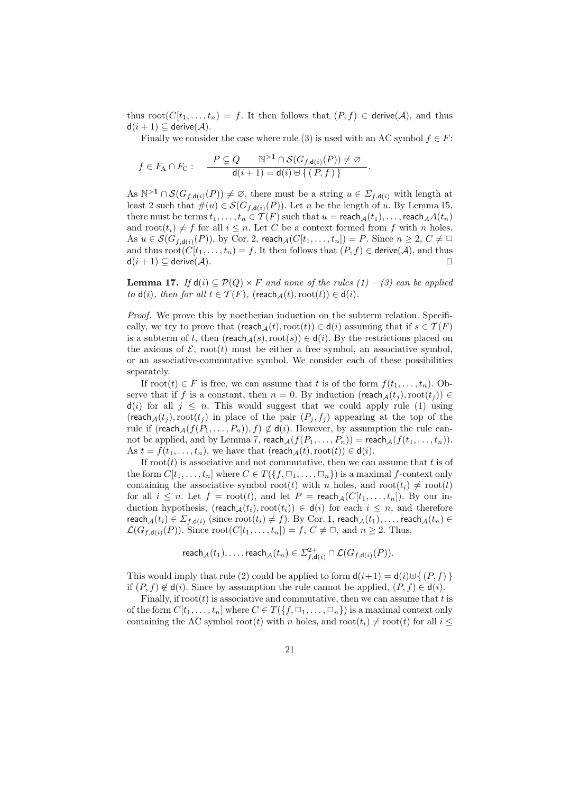thus  $\text{root}(C[t_1, \ldots, t_n) = f$ . It then follows that  $(P, f) \in \text{derive}(\mathcal{A})$ , and thus  $d(i + 1) \subseteq$  derive $(A)$ .

Finally we consider the case where rule (3) is used with an AC symbol  $f \in F$ :

$$
f \in F_{\mathcal{A}} \cap F_{\mathcal{C}}: \quad \frac{P \subseteq Q \qquad \mathbb{N}^{>1} \cap S(G_{f,d(i)}(P)) \neq \varnothing}{d(i+1) = d(i) \uplus \{ (P,f) \}}.
$$

As  $\mathbb{N}^{\geq 1} \cap \mathcal{S}(G_{f,d(i)}(P)) \neq \emptyset$ , there must be a string  $u \in \Sigma_{f,d(i)}$  with length at least 2 such that  $\#(u) \in \mathcal{S}(G_{f,d(i)}(P))$ . Let n be the length of u. By Lemma 15, there must be terms  $t_1, \ldots, t_n \in \overline{T}(F)$  such that  $u = \text{reach}_{\mathcal{A}}(t_1), \ldots, \text{reach}_{A}A(t_n)$ and  $\text{root}(t_i) \neq f$  for all  $i \leq n$ . Let C be a context formed from f with n holes. As  $u \in \mathcal{S}(G_{f,d(i)}(P))$ , by Cor. 2, reach  $\mathcal{A}(C[t_1,\ldots,t_n]) = P$ . Since  $n \geq 2, C \neq \square$ and thus  $\text{root}(C[t_1, \ldots, t_n) = f$ . It then follows that  $(P, f) \in \text{derive}(\mathcal{A})$ , and thus  $d(i + 1) \subseteq$  derive $(A)$ .

**Lemma 17.** If  $d(i) \subseteq \mathcal{P}(Q) \times F$  and none of the rules (1) – (3) can be applied to  $d(i)$ , then for all  $t \in \mathcal{T}(F)$ , (reach  $A(t)$ , root $(t)$ )  $\in d(i)$ .

Proof. We prove this by noetherian induction on the subterm relation. Specifically, we try to prove that  $(\text{reach}_A(t), \text{root}(t)) \in d(i)$  assuming that if  $s \in \mathcal{T}(F)$ is a subterm of t, then (reach  $\Delta(s)$ , root $(s)$ )  $\in$  d(i). By the restrictions placed on the axioms of  $\mathcal{E}$ , root(t) must be either a free symbol, an associative symbol, or an associative-commutative symbol. We consider each of these possibilities separately.

If root(t)  $\in$  F is free, we can assume that t is of the form  $f(t_1, \ldots, t_n)$ . Observe that if f is a constant, then  $n = 0$ . By induction (reach<sub>A</sub>(t<sub>i</sub>),root(t<sub>i</sub>)) ∈  $d(i)$  for all  $j \leq n$ . This would suggest that we could apply rule (1) using (reach<sub>A</sub>(t<sub>j</sub>),root(t<sub>j</sub>) in place of the pair  $(P_i, f_j)$  appearing at the top of the rule if (reach $_A(f(P_1, \ldots, P_n)), f) \notin d(i)$ . However, by assumption the rule cannot be applied, and by Lemma 7,  $\text{reach}_{\mathcal{A}}(f(P_1, \ldots, P_n)) = \text{reach}_{\mathcal{A}}(f(t_1, \ldots, t_n)).$ As  $t = f(t_1, \ldots, t_n)$ , we have that  $(\text{reach}_{\mathcal{A}}(t), \text{root}(t)) \in d(i)$ .

If root( $t$ ) is associative and not commutative, then we can assume that  $t$  is of the form  $C[t_1, \ldots, t_n]$  where  $C \in T(\lbrace f, \Box_1, \ldots, \Box_n \rbrace)$  is a maximal f-context only containing the associative symbol root(t) with n holes, and root(t<sub>i</sub>)  $\neq$  root(t) for all  $i \leq n$ . Let  $f = \text{root}(t)$ , and let  $P = \text{reach}_{\mathcal{A}}(C[t_1, \ldots, t_n])$ . By our induction hypothesis,  $(\text{reach}_{\mathcal{A}}(t_i), \text{root}(t_i)) \in d(i)$  for each  $i \leq n$ , and therefore reach $A(t_i) \in \Sigma_{f, \mathsf{d}(i)}$  (since  $\mathrm{root}(t_i) \neq f$ ). By Cor. 1, reach $A(t_1), \ldots$ , reach $A(t_n) \in$  $\mathcal{L}(G_{f,d(i)}(P)).$  Since  $\text{root}(C[t_1,\ldots,t_n])=f,\,C\neq\Box,$  and  $n\geq 2$ . Thus,

$$
\operatorname{reach}_{\mathcal{A}}(t_1), \ldots, \operatorname{reach}_{\mathcal{A}}(t_n) \in \Sigma_{f, \operatorname{d}(i)}^{2+} \cap \mathcal{L}(G_{f, \operatorname{d}(i)}(P)).
$$

This would imply that rule (2) could be applied to form  $d(i+1) = d(i) \cup \{ (P, f) \}$ if  $(P, f) \notin d(i)$ . Since by assumption the rule cannot be applied,  $(P, f) \in d(i)$ .

Finally, if  $root(t)$  is associative and commutative, then we can assume that t is of the form  $C[t_1, \ldots, t_n]$  where  $C \in T(\lbrace f, \Box_1, \ldots, \Box_n \rbrace)$  is a maximal context only containing the AC symbol root(t) with n holes, and root(t<sub>i</sub>)  $\neq$  root(t) for all i <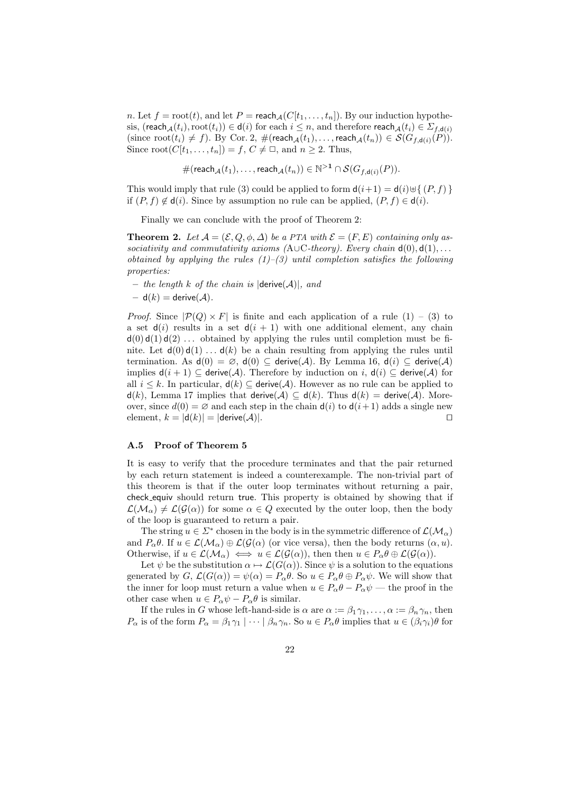*n*. Let  $f = \text{root}(t)$ , and let  $P = \text{reach}_{\mathcal{A}}(C[t_1, \ldots, t_n])$ . By our induction hypothesis, (reach $A(t_i)$ , root $(t_i)$ )  $\in$  d(i) for each  $i \leq n$ , and therefore reach $A(t_i) \in \Sigma_{f,d(i)}$ (since  $\text{root}(t_i) \neq f$ ). By Cor. 2,  $\#(\text{reach}_{\mathcal{A}}(t_1), \ldots, \text{reach}_{\mathcal{A}}(t_n)) \in \mathcal{S}(G_{f, \mathsf{d}(i)}(P)).$ Since  $\text{root}(C[t_1, \ldots, t_n]) = f, C \neq \square$ , and  $n \geq 2$ . Thus,

$$
\#(\operatorname{reach}_{\mathcal{A}}(t_1), \dots, \operatorname{reach}_{\mathcal{A}}(t_n)) \in \mathbb{N}^{>1} \cap \mathcal{S}(G_{f, \operatorname{d}(i)}(P)).
$$

This would imply that rule (3) could be applied to form  $d(i+1) = d(i) \oplus \{ (P, f) \}$ if  $(P, f) \notin d(i)$ . Since by assumption no rule can be applied,  $(P, f) \in d(i)$ .

Finally we can conclude with the proof of Theorem 2:

**Theorem 2.** Let  $\mathcal{A} = (\mathcal{E}, Q, \phi, \Delta)$  be a PTA with  $\mathcal{E} = (F, E)$  containing only associativity and commutativity axioms (A∪C-theory). Every chain  $d(0), d(1), \ldots$ obtained by applying the rules  $(1)-(3)$  until completion satisfies the following properties:

– the length k of the chain is  $|derive(A)|$ , and

 $- d(k) =$  derive( $\mathcal{A}$ ).

*Proof.* Since  $|\mathcal{P}(Q)| \times F|$  is finite and each application of a rule (1) – (3) to a set  $d(i)$  results in a set  $d(i + 1)$  with one additional element, any chain  $d(0) d(1) d(2) \ldots$  obtained by applying the rules until completion must be finite. Let  $d(0) d(1) \ldots d(k)$  be a chain resulting from applying the rules until termination. As  $d(0) = \emptyset$ ,  $d(0) \subseteq$  derive(A). By Lemma 16,  $d(i) \subseteq$  derive(A) implies  $d(i + 1) \subseteq$  derive(A). Therefore by induction on i,  $d(i) \subseteq$  derive(A) for all  $i \leq k$ . In particular,  $d(k) \subseteq$  derive(A). However as no rule can be applied to  $d(k)$ , Lemma 17 implies that derive $(\mathcal{A}) \subseteq d(k)$ . Thus  $d(k) =$  derive $(\mathcal{A})$ . Moreover, since  $d(0) = \emptyset$  and each step in the chain  $d(i)$  to  $d(i+1)$  adds a single new element,  $k = |d(k)| = |derive(\mathcal{A})|$ .

#### A.5 Proof of Theorem 5

It is easy to verify that the procedure terminates and that the pair returned by each return statement is indeed a counterexample. The non-trivial part of this theorem is that if the outer loop terminates without returning a pair, check equiv should return true. This property is obtained by showing that if  $\mathcal{L}(\mathcal{M}_{\alpha}) \neq \mathcal{L}(\mathcal{G}(\alpha))$  for some  $\alpha \in Q$  executed by the outer loop, then the body of the loop is guaranteed to return a pair.

The string  $u \in \Sigma^*$  chosen in the body is in the symmetric difference of  $\mathcal{L}(\mathcal{M}_\alpha)$ and  $P_{\alpha} \theta$ . If  $u \in \mathcal{L}(\mathcal{M}_{\alpha}) \oplus \mathcal{L}(\mathcal{G}(\alpha))$  (or vice versa), then the body returns  $(\alpha, u)$ . Otherwise, if  $u \in \mathcal{L}(\mathcal{M}_{\alpha}) \iff u \in \mathcal{L}(\mathcal{G}(\alpha))$ , then then  $u \in P_{\alpha} \theta \oplus \mathcal{L}(\mathcal{G}(\alpha))$ .

Let  $\psi$  be the substitution  $\alpha \mapsto \mathcal{L}(G(\alpha))$ . Since  $\psi$  is a solution to the equations generated by  $G, \mathcal{L}(G(\alpha)) = \psi(\alpha) = P_\alpha \theta$ . So  $u \in P_\alpha \theta \oplus P_\alpha \psi$ . We will show that the inner for loop must return a value when  $u \in P_\alpha \theta - P_\alpha \psi$  — the proof in the other case when  $u \in P_\alpha \psi - P_\alpha \theta$  is similar.

If the rules in G whose left-hand-side is  $\alpha$  are  $\alpha := \beta_1 \gamma_1, \dots, \alpha := \beta_n \gamma_n$ , then  $P_{\alpha}$  is of the form  $P_{\alpha} = \beta_1 \gamma_1 \mid \cdots \mid \beta_n \gamma_n$ . So  $u \in P_{\alpha} \theta$  implies that  $u \in (\beta_i \gamma_i) \theta$  for